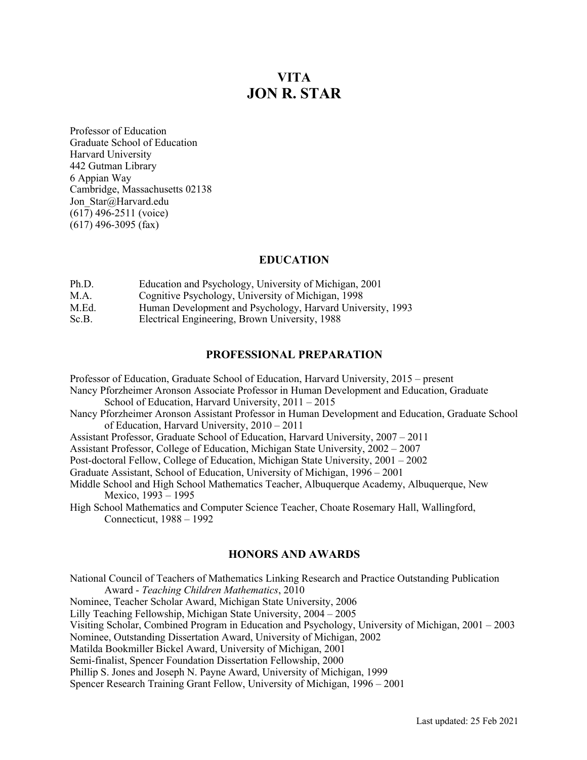# **VITA JON R. STAR**

Professor of Education Graduate School of Education Harvard University 442 Gutman Library 6 Appian Way Cambridge, Massachusetts 02138 Jon Star@Harvard.edu  $(61\overline{7})$  496-2511 (voice) (617) 496-3095 (fax)

## **EDUCATION**

| Ph.D. | Education and Psychology, University of Michigan, 2001     |
|-------|------------------------------------------------------------|
| M.A.  | Cognitive Psychology, University of Michigan, 1998         |
| M.Ed. | Human Development and Psychology, Harvard University, 1993 |
| Sc.B. | Electrical Engineering, Brown University, 1988             |

## **PROFESSIONAL PREPARATION**

Professor of Education, Graduate School of Education, Harvard University, 2015 – present Nancy Pforzheimer Aronson Associate Professor in Human Development and Education, Graduate School of Education, Harvard University, 2011 – 2015 Nancy Pforzheimer Aronson Assistant Professor in Human Development and Education, Graduate School of Education, Harvard University, 2010 – 2011 Assistant Professor, Graduate School of Education, Harvard University, 2007 – 2011 Assistant Professor, College of Education, Michigan State University, 2002 – 2007 Post-doctoral Fellow, College of Education, Michigan State University, 2001 – 2002

Graduate Assistant, School of Education, University of Michigan, 1996 – 2001

Middle School and High School Mathematics Teacher, Albuquerque Academy, Albuquerque, New

Mexico, 1993 – 1995

High School Mathematics and Computer Science Teacher, Choate Rosemary Hall, Wallingford, Connecticut, 1988 – 1992

## **HONORS AND AWARDS**

National Council of Teachers of Mathematics Linking Research and Practice Outstanding Publication Award - *Teaching Children Mathematics*, 2010 Nominee, Teacher Scholar Award, Michigan State University, 2006 Lilly Teaching Fellowship, Michigan State University, 2004 – 2005 Visiting Scholar, Combined Program in Education and Psychology, University of Michigan, 2001 – 2003 Nominee, Outstanding Dissertation Award, University of Michigan, 2002 Matilda Bookmiller Bickel Award, University of Michigan, 2001 Semi-finalist, Spencer Foundation Dissertation Fellowship, 2000 Phillip S. Jones and Joseph N. Payne Award, University of Michigan, 1999 Spencer Research Training Grant Fellow, University of Michigan, 1996 – 2001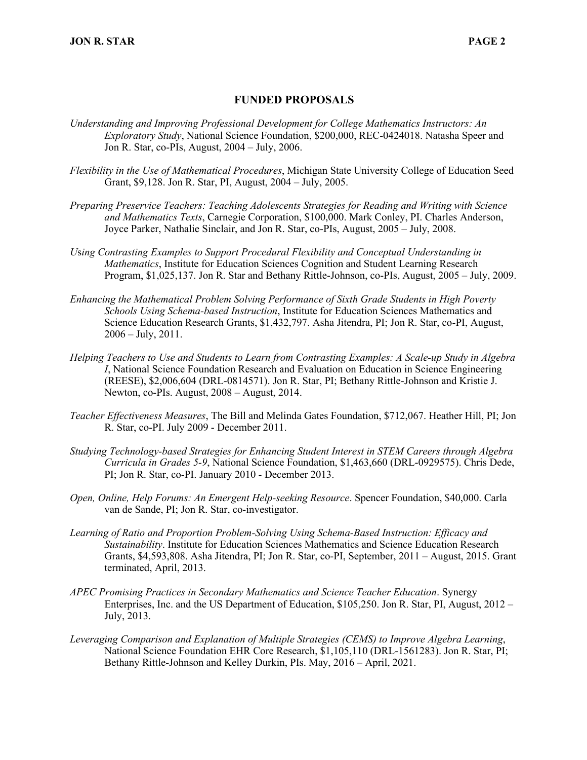## **FUNDED PROPOSALS**

- *Understanding and Improving Professional Development for College Mathematics Instructors: An Exploratory Study*, National Science Foundation, \$200,000, REC-0424018. Natasha Speer and Jon R. Star, co-PIs, August, 2004 – July, 2006.
- *Flexibility in the Use of Mathematical Procedures*, Michigan State University College of Education Seed Grant, \$9,128. Jon R. Star, PI, August, 2004 – July, 2005.
- *Preparing Preservice Teachers: Teaching Adolescents Strategies for Reading and Writing with Science and Mathematics Texts*, Carnegie Corporation, \$100,000. Mark Conley, PI. Charles Anderson, Joyce Parker, Nathalie Sinclair, and Jon R. Star, co-PIs, August, 2005 – July, 2008.
- *U*s*ing Contrasting Examples to Support Procedural Flexibility and Conceptual Understanding in Mathematics*, Institute for Education Sciences Cognition and Student Learning Research Program, \$1,025,137. Jon R. Star and Bethany Rittle-Johnson, co-PIs, August, 2005 – July, 2009.
- *Enhancing the Mathematical Problem Solving Performance of Sixth Grade Students in High Poverty Schools Using Schema-based Instruction*, Institute for Education Sciences Mathematics and Science Education Research Grants, \$1,432,797. Asha Jitendra, PI; Jon R. Star, co-PI, August,  $2006 - \text{July. } 2011.$
- *Helping Teachers to Use and Students to Learn from Contrasting Examples: A Scale-up Study in Algebra I*, National Science Foundation Research and Evaluation on Education in Science Engineering (REESE), \$2,006,604 (DRL-0814571). Jon R. Star, PI; Bethany Rittle-Johnson and Kristie J. Newton, co-PIs. August, 2008 – August, 2014.
- *Teacher Effectiveness Measures*, The Bill and Melinda Gates Foundation, \$712,067. Heather Hill, PI; Jon R. Star, co-PI. July 2009 - December 2011.
- *Studying Technology-based Strategies for Enhancing Student Interest in STEM Careers through Algebra Curricula in Grades 5-9*, National Science Foundation, \$1,463,660 (DRL-0929575). Chris Dede, PI; Jon R. Star, co-PI. January 2010 - December 2013.
- *Open, Online, Help Forums: An Emergent Help-seeking Resource*. Spencer Foundation, \$40,000. Carla van de Sande, PI; Jon R. Star, co-investigator.
- *Learning of Ratio and Proportion Problem-Solving Using Schema-Based Instruction: Efficacy and Sustainability*. Institute for Education Sciences Mathematics and Science Education Research Grants, \$4,593,808. Asha Jitendra, PI; Jon R. Star, co-PI, September, 2011 – August, 2015. Grant terminated, April, 2013.
- *APEC Promising Practices in Secondary Mathematics and Science Teacher Education*. Synergy Enterprises, Inc. and the US Department of Education, \$105,250. Jon R. Star, PI, August, 2012 – July, 2013.
- *Leveraging Comparison and Explanation of Multiple Strategies (CEMS) to Improve Algebra Learning*, National Science Foundation EHR Core Research, \$1,105,110 (DRL-1561283). Jon R. Star, PI; Bethany Rittle-Johnson and Kelley Durkin, PIs. May, 2016 – April, 2021.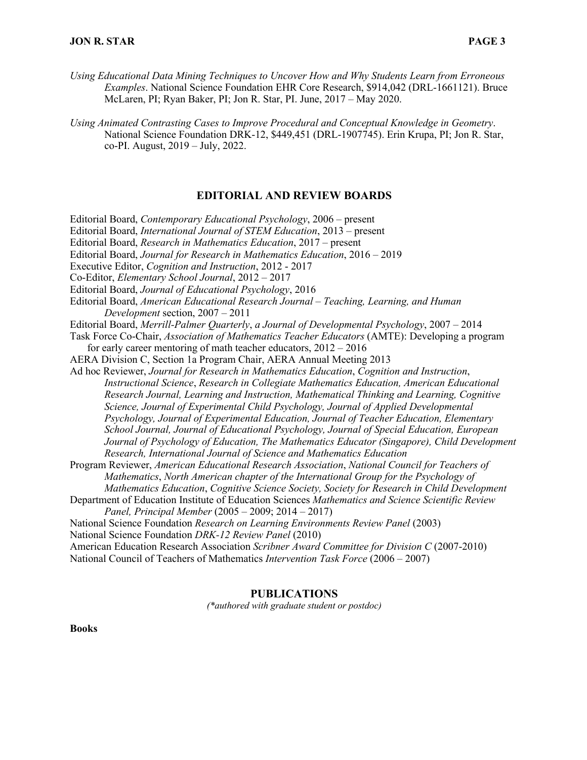- *Using Educational Data Mining Techniques to Uncover How and Why Students Learn from Erroneous Examples*. National Science Foundation EHR Core Research, \$914,042 (DRL-1661121). Bruce McLaren, PI; Ryan Baker, PI; Jon R. Star, PI. June, 2017 – May 2020.
- *Using Animated Contrasting Cases to Improve Procedural and Conceptual Knowledge in Geometry*. National Science Foundation DRK-12, \$449,451 (DRL-1907745). Erin Krupa, PI; Jon R. Star, co-PI. August, 2019 – July, 2022.

## **EDITORIAL AND REVIEW BOARDS**

Editorial Board, *Contemporary Educational Psychology*, 2006 – present

Editorial Board, *International Journal of STEM Education*, 2013 – present

Editorial Board, *Research in Mathematics Education*, 2017 – present

Editorial Board, *Journal for Research in Mathematics Education*, 2016 – 2019

Executive Editor, *Cognition and Instruction*, 2012 - 2017

- Co-Editor, *Elementary School Journal*, 2012 2017
- Editorial Board, *Journal of Educational Psychology*, 2016

Editorial Board, *American Educational Research Journal* – *Teaching, Learning, and Human Development* section, 2007 – 2011

Editorial Board, *Merrill-Palmer Quarterly*, *a Journal of Developmental Psychology*, 2007 – 2014

Task Force Co-Chair, *Association of Mathematics Teacher Educators* (AMTE): Developing a program for early career mentoring of math teacher educators, 2012 – 2016

AERA Division C, Section 1a Program Chair, AERA Annual Meeting 2013

Ad hoc Reviewer, *Journal for Research in Mathematics Education*, *Cognition and Instruction*, *Instructional Science*, *Research in Collegiate Mathematics Education, American Educational Research Journal, Learning and Instruction, Mathematical Thinking and Learning, Cognitive Science, Journal of Experimental Child Psychology, Journal of Applied Developmental Psychology, Journal of Experimental Education, Journal of Teacher Education, Elementary School Journal, Journal of Educational Psychology, Journal of Special Education, European Journal of Psychology of Education, The Mathematics Educator (Singapore), Child Development Research, International Journal of Science and Mathematics Education*

Program Reviewer, *American Educational Research Association*, *National Council for Teachers of Mathematics*, *North American chapter of the International Group for the Psychology of Mathematics Education*, *Cognitive Science Society, Society for Research in Child Development*

Department of Education Institute of Education Sciences *Mathematics and Science Scientific Review Panel, Principal Member* (2005 – 2009; 2014 – 2017)

National Science Foundation *Research on Learning Environments Review Panel* (2003)

National Science Foundation *DRK-12 Review Panel* (2010)

American Education Research Association *Scribner Award Committee for Division C* (2007-2010)

National Council of Teachers of Mathematics *Intervention Task Force* (2006 – 2007)

## **PUBLICATIONS**

*(\*authored with graduate student or postdoc)*

**Books**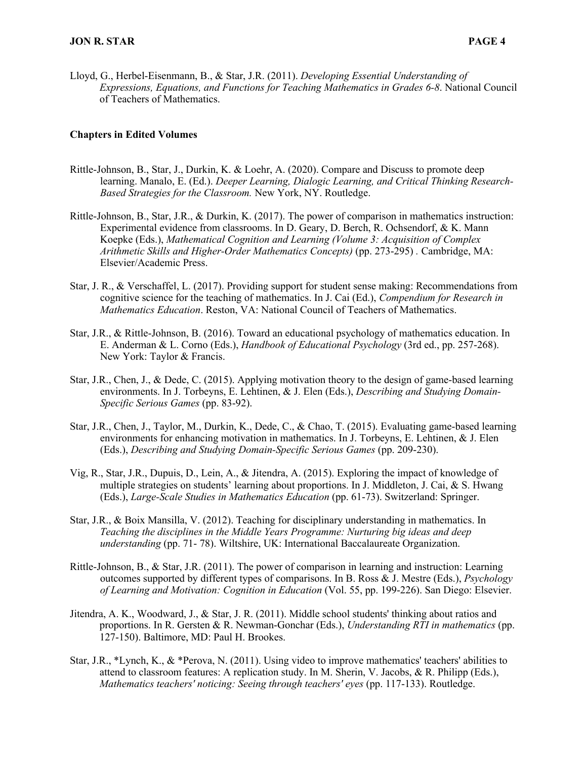Lloyd, G., Herbel-Eisenmann, B., & Star, J.R. (2011). *Developing Essential Understanding of Expressions, Equations, and Functions for Teaching Mathematics in Grades 6-8*. National Council of Teachers of Mathematics.

#### **Chapters in Edited Volumes**

- Rittle-Johnson, B., Star, J., Durkin, K. & Loehr, A. (2020). Compare and Discuss to promote deep learning. Manalo, E. (Ed.). *Deeper Learning, Dialogic Learning, and Critical Thinking Research-Based Strategies for the Classroom.* New York, NY. Routledge.
- Rittle-Johnson, B., Star, J.R., & Durkin, K. (2017). The power of comparison in mathematics instruction: Experimental evidence from classrooms. In D. Geary, D. Berch, R. Ochsendorf, & K. Mann Koepke (Eds.), *Mathematical Cognition and Learning (Volume 3: Acquisition of Complex Arithmetic Skills and Higher-Order Mathematics Concepts)* (pp. 273-295) *.* Cambridge, MA: Elsevier/Academic Press.
- Star, J. R., & Verschaffel, L. (2017). Providing support for student sense making: Recommendations from cognitive science for the teaching of mathematics. In J. Cai (Ed.), *Compendium for Research in Mathematics Education*. Reston, VA: National Council of Teachers of Mathematics.
- Star, J.R., & Rittle-Johnson, B. (2016). Toward an educational psychology of mathematics education. In E. Anderman & L. Corno (Eds.), *Handbook of Educational Psychology* (3rd ed., pp. 257-268). New York: Taylor & Francis.
- Star, J.R., Chen, J., & Dede, C. (2015). Applying motivation theory to the design of game-based learning environments. In J. Torbeyns, E. Lehtinen, & J. Elen (Eds.), *Describing and Studying Domain-Specific Serious Games* (pp. 83-92).
- Star, J.R., Chen, J., Taylor, M., Durkin, K., Dede, C., & Chao, T. (2015). Evaluating game-based learning environments for enhancing motivation in mathematics. In J. Torbeyns, E. Lehtinen, & J. Elen (Eds.), *Describing and Studying Domain-Specific Serious Games* (pp. 209-230).
- Vig, R., Star, J.R., Dupuis, D., Lein, A., & Jitendra, A. (2015). Exploring the impact of knowledge of multiple strategies on students' learning about proportions. In J. Middleton, J. Cai, & S. Hwang (Eds.), *Large-Scale Studies in Mathematics Education* (pp. 61-73). Switzerland: Springer.
- Star, J.R., & Boix Mansilla, V. (2012). Teaching for disciplinary understanding in mathematics. In *Teaching the disciplines in the Middle Years Programme: Nurturing big ideas and deep understanding* (pp. 71- 78). Wiltshire, UK: International Baccalaureate Organization.
- Rittle-Johnson, B., & Star, J.R. (2011). The power of comparison in learning and instruction: Learning outcomes supported by different types of comparisons. In B. Ross & J. Mestre (Eds.), *Psychology of Learning and Motivation: Cognition in Education* (Vol. 55, pp. 199-226). San Diego: Elsevier.
- Jitendra, A. K., Woodward, J., & Star, J. R. (2011). Middle school students' thinking about ratios and proportions. In R. Gersten & R. Newman-Gonchar (Eds.), *Understanding RTI in mathematics* (pp. 127-150). Baltimore, MD: Paul H. Brookes.
- Star, J.R., \*Lynch, K., & \*Perova, N. (2011). Using video to improve mathematics' teachers' abilities to attend to classroom features: A replication study. In M. Sherin, V. Jacobs, & R. Philipp (Eds.), *Mathematics teachers' noticing: Seeing through teachers' eyes* (pp. 117-133). Routledge.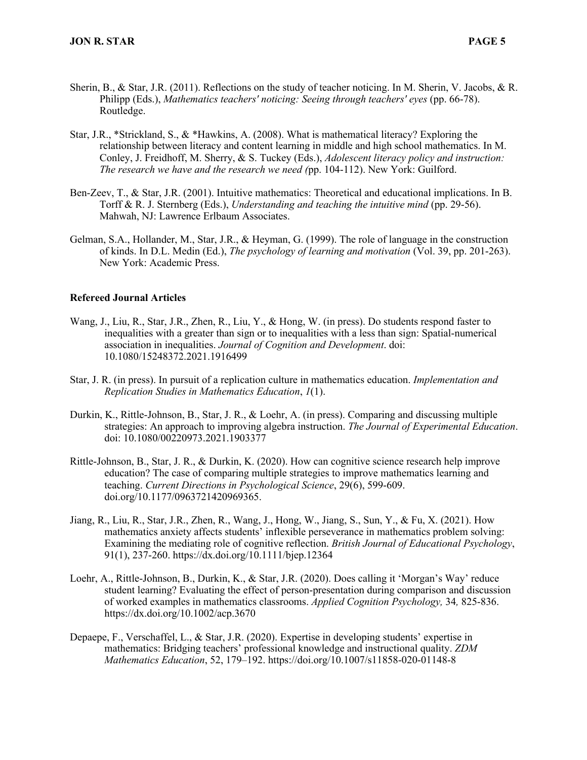- Sherin, B., & Star, J.R. (2011). Reflections on the study of teacher noticing. In M. Sherin, V. Jacobs, & R. Philipp (Eds.), *Mathematics teachers' noticing: Seeing through teachers' eyes* (pp. 66-78). Routledge.
- Star, J.R., \*Strickland, S., & \*Hawkins, A. (2008). What is mathematical literacy? Exploring the relationship between literacy and content learning in middle and high school mathematics. In M. Conley, J. Freidhoff, M. Sherry, & S. Tuckey (Eds.), *Adolescent literacy policy and instruction: The research we have and the research we need (*pp. 104-112). New York: Guilford.
- Ben-Zeev, T., & Star, J.R. (2001). Intuitive mathematics: Theoretical and educational implications. In B. Torff & R. J. Sternberg (Eds.), *Understanding and teaching the intuitive mind* (pp. 29-56). Mahwah, NJ: Lawrence Erlbaum Associates.
- Gelman, S.A., Hollander, M., Star, J.R., & Heyman, G. (1999). The role of language in the construction of kinds. In D.L. Medin (Ed.), *The psychology of learning and motivation* (Vol. 39, pp. 201-263). New York: Academic Press.

#### **Refereed Journal Articles**

- Wang, J., Liu, R., Star, J.R., Zhen, R., Liu, Y., & Hong, W. (in press). Do students respond faster to inequalities with a greater than sign or to inequalities with a less than sign: Spatial-numerical association in inequalities. *Journal of Cognition and Development*. doi: 10.1080/15248372.2021.1916499
- Star, J. R. (in press). In pursuit of a replication culture in mathematics education. *Implementation and Replication Studies in Mathematics Education*, *1*(1).
- Durkin, K., Rittle-Johnson, B., Star, J. R., & Loehr, A. (in press). Comparing and discussing multiple strategies: An approach to improving algebra instruction. *The Journal of Experimental Education*. doi: 10.1080/00220973.2021.1903377
- Rittle-Johnson, B., Star, J. R., & Durkin, K. (2020). How can cognitive science research help improve education? The case of comparing multiple strategies to improve mathematics learning and teaching. *Current Directions in Psychological Science*, 29(6), 599-609. doi.org/10.1177/0963721420969365.
- Jiang, R., Liu, R., Star, J.R., Zhen, R., Wang, J., Hong, W., Jiang, S., Sun, Y., & Fu, X. (2021). How mathematics anxiety affects students' inflexible perseverance in mathematics problem solving: Examining the mediating role of cognitive reflection. *British Journal of Educational Psychology*, 91(1), 237-260. https://dx.doi.org/10.1111/bjep.12364
- Loehr, A., Rittle-Johnson, B., Durkin, K., & Star, J.R. (2020). Does calling it 'Morgan's Way' reduce student learning? Evaluating the effect of person-presentation during comparison and discussion of worked examples in mathematics classrooms. *Applied Cognition Psychology,* 34*,* 825-836. https://dx.doi.org/10.1002/acp.3670
- Depaepe, F., Verschaffel, L., & Star, J.R. (2020). Expertise in developing students' expertise in mathematics: Bridging teachers' professional knowledge and instructional quality. *ZDM Mathematics Education*, 52, 179–192. https://doi.org/10.1007/s11858-020-01148-8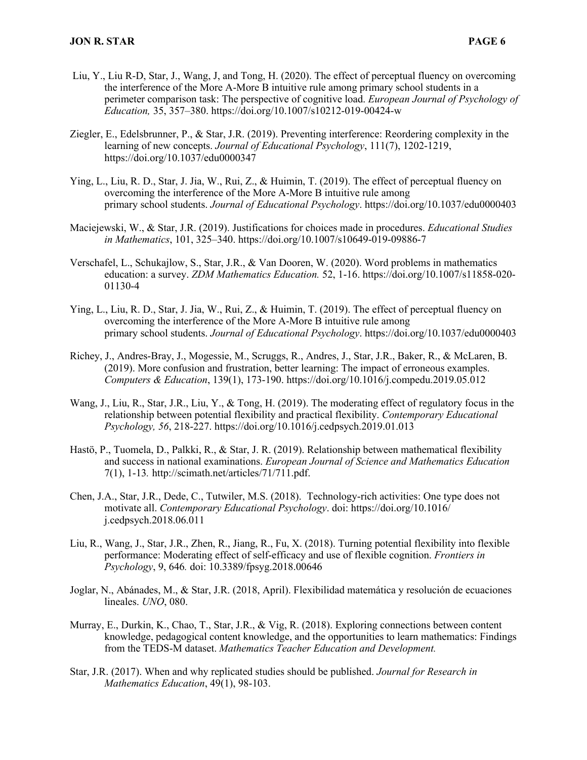- Liu, Y., Liu R-D, Star, J., Wang, J, and Tong, H. (2020). The effect of perceptual fluency on overcoming the interference of the More A-More B intuitive rule among primary school students in a perimeter comparison task: The perspective of cognitive load. *European Journal of Psychology of Education,* 35, 357–380. https://doi.org/10.1007/s10212-019-00424-w
- Ziegler, E., Edelsbrunner, P., & Star, J.R. (2019). Preventing interference: Reordering complexity in the learning of new concepts. *Journal of Educational Psychology*, 111(7), 1202-1219, https://doi.org/10.1037/edu0000347
- Ying, L., Liu, R. D., Star, J. Jia, W., Rui, Z., & Huimin, T. (2019). The effect of perceptual fluency on overcoming the interference of the More A-More B intuitive rule among primary school students. *Journal of Educational Psychology*. https://doi.org/10.1037/edu0000403
- Maciejewski, W., & Star, J.R. (2019). Justifications for choices made in procedures. *Educational Studies in Mathematics*, 101, 325–340. https://doi.org/10.1007/s10649-019-09886-7
- Verschafel, L., Schukajlow, S., Star, J.R., & Van Dooren, W. (2020). Word problems in mathematics education: a survey. *ZDM Mathematics Education.* 52, 1-16. https://doi.org/10.1007/s11858-020- 01130-4
- Ying, L., Liu, R. D., Star, J. Jia, W., Rui, Z., & Huimin, T. (2019). The effect of perceptual fluency on overcoming the interference of the More A-More B intuitive rule among primary school students. *Journal of Educational Psychology*. https://doi.org/10.1037/edu0000403
- Richey, J., Andres-Bray, J., Mogessie, M., Scruggs, R., Andres, J., Star, J.R., Baker, R., & McLaren, B. (2019). More confusion and frustration, better learning: The impact of erroneous examples. *Computers & Education*, 139(1), 173-190. https://doi.org/10.1016/j.compedu.2019.05.012
- Wang, J., Liu, R., Star, J.R., Liu, Y., & Tong, H. (2019). The moderating effect of regulatory focus in the relationship between potential flexibility and practical flexibility. *Contemporary Educational Psychology, 56*, 218-227. https://doi.org/10.1016/j.cedpsych.2019.01.013
- Hastö, P., Tuomela, D., Palkki, R., & Star, J. R. (2019). Relationship between mathematical flexibility and success in national examinations. *European Journal of Science and Mathematics Education* 7(1), 1-13*.* http://scimath.net/articles/71/711.pdf.
- Chen, J.A., Star, J.R., Dede, C., Tutwiler, M.S. (2018). Technology-rich activities: One type does not motivate all. *Contemporary Educational Psychology*. doi: https://doi.org/10.1016/ j.cedpsych.2018.06.011
- Liu, R., Wang, J., Star, J.R., Zhen, R., Jiang, R., Fu, X. (2018). Turning potential flexibility into flexible performance: Moderating effect of self-efficacy and use of flexible cognition. *Frontiers in Psychology*, 9, 646*.* doi: 10.3389/fpsyg.2018.00646
- Joglar, N., Abánades, M., & Star, J.R. (2018, April). Flexibilidad matemática y resolución de ecuaciones lineales. *UNO*, 080.
- Murray, E., Durkin, K., Chao, T., Star, J.R., & Vig, R. (2018). Exploring connections between content knowledge, pedagogical content knowledge, and the opportunities to learn mathematics: Findings from the TEDS-M dataset. *Mathematics Teacher Education and Development.*
- Star, J.R. (2017). When and why replicated studies should be published. *Journal for Research in Mathematics Education*, 49(1), 98-103.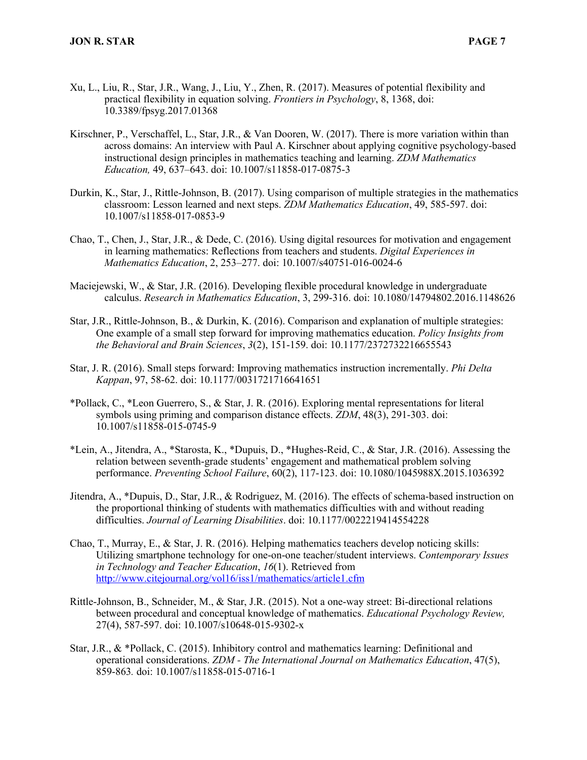- Xu, L., Liu, R., Star, J.R., Wang, J., Liu, Y., Zhen, R. (2017). Measures of potential flexibility and practical flexibility in equation solving. *Frontiers in Psychology*, 8, 1368, doi: 10.3389/fpsyg.2017.01368
- Kirschner, P., Verschaffel, L., Star, J.R., & Van Dooren, W. (2017). There is more variation within than across domains: An interview with Paul A. Kirschner about applying cognitive psychology-based instructional design principles in mathematics teaching and learning. *ZDM Mathematics Education,* 49, 637–643. doi: 10.1007/s11858-017-0875-3
- Durkin, K., Star, J., Rittle-Johnson, B. (2017). Using comparison of multiple strategies in the mathematics classroom: Lesson learned and next steps. *ZDM Mathematics Education*, 49, 585-597. doi: 10.1007/s11858-017-0853-9
- Chao, T., Chen, J., Star, J.R., & Dede, C. (2016). Using digital resources for motivation and engagement in learning mathematics: Reflections from teachers and students. *Digital Experiences in Mathematics Education*, 2, 253–277. doi: 10.1007/s40751-016-0024-6
- Maciejewski, W., & Star, J.R. (2016). Developing flexible procedural knowledge in undergraduate calculus. *Research in Mathematics Education*, 3, 299-316. doi: 10.1080/14794802.2016.1148626
- Star, J.R., Rittle-Johnson, B., & Durkin, K. (2016). Comparison and explanation of multiple strategies: One example of a small step forward for improving mathematics education. *Policy Insights from the Behavioral and Brain Sciences*, *3*(2), 151-159. doi: 10.1177/2372732216655543
- Star, J. R. (2016). Small steps forward: Improving mathematics instruction incrementally. *Phi Delta Kappan*, 97, 58-62. doi: 10.1177/0031721716641651
- \*Pollack, C., \*Leon Guerrero, S., & Star, J. R. (2016). Exploring mental representations for literal symbols using priming and comparison distance effects. *ZDM*, 48(3), 291-303. doi: 10.1007/s11858-015-0745-9
- \*Lein, A., Jitendra, A., \*Starosta, K., \*Dupuis, D., \*Hughes-Reid, C., & Star, J.R. (2016). Assessing the relation between seventh-grade students' engagement and mathematical problem solving performance. *Preventing School Failure*, 60(2), 117-123. doi: 10.1080/1045988X.2015.1036392
- Jitendra, A., \*Dupuis, D., Star, J.R., & Rodriguez, M. (2016). The effects of schema-based instruction on the proportional thinking of students with mathematics difficulties with and without reading difficulties. *Journal of Learning Disabilities*. doi: 10.1177/0022219414554228
- Chao, T., Murray, E., & Star, J. R. (2016). Helping mathematics teachers develop noticing skills: Utilizing smartphone technology for one-on-one teacher/student interviews. *Contemporary Issues in Technology and Teacher Education*, *16*(1). Retrieved from http://www.citejournal.org/vol16/iss1/mathematics/article1.cfm
- Rittle-Johnson, B., Schneider, M., & Star, J.R. (2015). Not a one-way street: Bi-directional relations between procedural and conceptual knowledge of mathematics. *Educational Psychology Review,*  27(4), 587-597. doi: 10.1007/s10648-015-9302-x
- Star, J.R., & \*Pollack, C. (2015). Inhibitory control and mathematics learning: Definitional and operational considerations. *ZDM - The International Journal on Mathematics Education*, 47(5), 859-863*.* doi: 10.1007/s11858-015-0716-1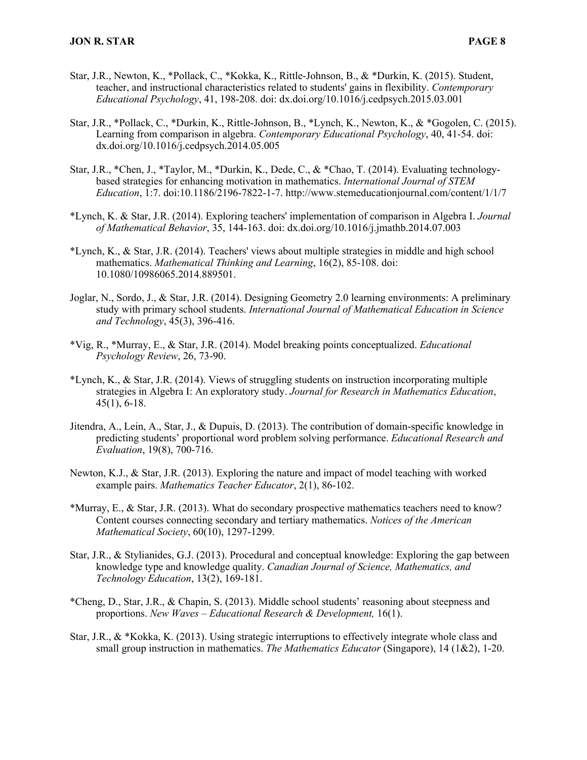- Star, J.R., Newton, K., \*Pollack, C., \*Kokka, K., Rittle-Johnson, B., & \*Durkin, K. (2015). Student, teacher, and instructional characteristics related to students' gains in flexibility. *Contemporary Educational Psychology*, 41, 198-208. doi: dx.doi.org/10.1016/j.cedpsych.2015.03.001
- Star, J.R., \*Pollack, C., \*Durkin, K., Rittle-Johnson, B., \*Lynch, K., Newton, K., & \*Gogolen, C. (2015). Learning from comparison in algebra. *Contemporary Educational Psychology*, 40, 41-54. doi: dx.doi.org/10.1016/j.cedpsych.2014.05.005
- Star, J.R., \*Chen, J., \*Taylor, M., \*Durkin, K., Dede, C., & \*Chao, T. (2014). Evaluating technologybased strategies for enhancing motivation in mathematics. *International Journal of STEM Education*, 1:7. doi:10.1186/2196-7822-1-7. http://www.stemeducationjournal.com/content/1/1/7
- \*Lynch, K. & Star, J.R. (2014). Exploring teachers' implementation of comparison in Algebra I. *Journal of Mathematical Behavior*, 35, 144-163. doi: dx.doi.org/10.1016/j.jmathb.2014.07.003
- \*Lynch, K., & Star, J.R. (2014). Teachers' views about multiple strategies in middle and high school mathematics. *Mathematical Thinking and Learning*, 16(2), 85-108. doi: 10.1080/10986065.2014.889501.
- Joglar, N., Sordo, J., & Star, J.R. (2014). Designing Geometry 2.0 learning environments: A preliminary study with primary school students. *International Journal of Mathematical Education in Science and Technology*, 45(3), 396-416.
- \*Vig, R., \*Murray, E., & Star, J.R. (2014). Model breaking points conceptualized. *Educational Psychology Review*, 26, 73-90.
- \*Lynch, K., & Star, J.R. (2014). Views of struggling students on instruction incorporating multiple strategies in Algebra I: An exploratory study. *Journal for Research in Mathematics Education*, 45(1), 6-18.
- Jitendra, A., Lein, A., Star, J., & Dupuis, D. (2013). The contribution of domain-specific knowledge in predicting students' proportional word problem solving performance. *Educational Research and Evaluation*, 19(8), 700-716.
- Newton, K.J., & Star, J.R. (2013). Exploring the nature and impact of model teaching with worked example pairs. *Mathematics Teacher Educator*, 2(1), 86-102.
- \*Murray, E., & Star, J.R. (2013). What do secondary prospective mathematics teachers need to know? Content courses connecting secondary and tertiary mathematics. *Notices of the American Mathematical Society*, 60(10), 1297-1299.
- Star, J.R., & Stylianides, G.J. (2013). Procedural and conceptual knowledge: Exploring the gap between knowledge type and knowledge quality. *Canadian Journal of Science, Mathematics, and Technology Education*, 13(2), 169-181.
- \*Cheng, D., Star, J.R., & Chapin, S. (2013). Middle school students' reasoning about steepness and proportions. *New Waves – Educational Research & Development,* 16(1).
- Star, J.R., & \*Kokka, K. (2013). Using strategic interruptions to effectively integrate whole class and small group instruction in mathematics. *The Mathematics Educator* (Singapore), 14 (1&2), 1-20.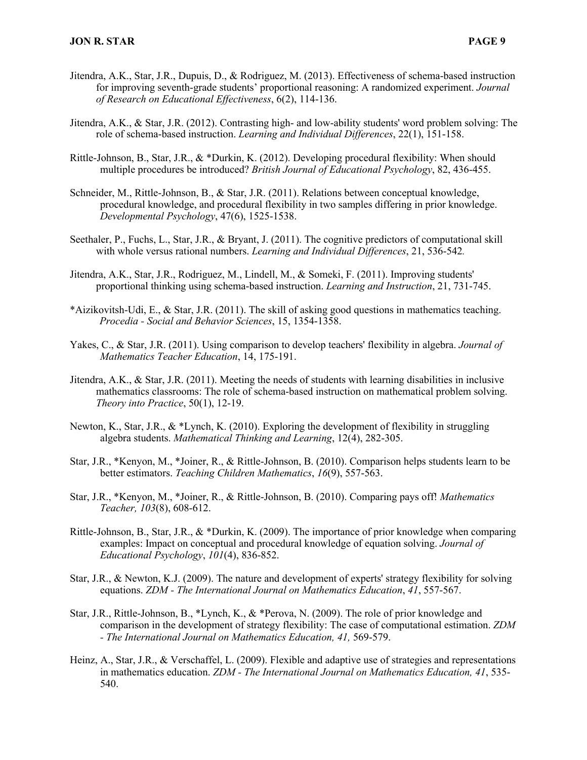- Jitendra, A.K., Star, J.R., Dupuis, D., & Rodriguez, M. (2013). Effectiveness of schema-based instruction for improving seventh-grade students' proportional reasoning: A randomized experiment. *Journal of Research on Educational Effectiveness*, 6(2), 114-136.
- Jitendra, A.K., & Star, J.R. (2012). Contrasting high- and low-ability students' word problem solving: The role of schema-based instruction. *Learning and Individual Differences*, 22(1), 151-158.
- Rittle-Johnson, B., Star, J.R., & \*Durkin, K. (2012). Developing procedural flexibility: When should multiple procedures be introduced? *British Journal of Educational Psychology*, 82, 436-455.
- Schneider, M., Rittle-Johnson, B., & Star, J.R. (2011). Relations between conceptual knowledge, procedural knowledge, and procedural flexibility in two samples differing in prior knowledge. *Developmental Psychology*, 47(6), 1525-1538.
- Seethaler, P., Fuchs, L., Star, J.R., & Bryant, J. (2011). The cognitive predictors of computational skill with whole versus rational numbers. *Learning and Individual Differences*, 21, 536-542*.*
- Jitendra, A.K., Star, J.R., Rodriguez, M., Lindell, M., & Someki, F. (2011). Improving students' proportional thinking using schema-based instruction. *Learning and Instruction*, 21, 731-745.
- \*Aizikovitsh-Udi, E., & Star, J.R. (2011). The skill of asking good questions in mathematics teaching. *Procedia - Social and Behavior Sciences*, 15, 1354-1358.
- Yakes, C., & Star, J.R. (2011). Using comparison to develop teachers' flexibility in algebra. *Journal of Mathematics Teacher Education*, 14, 175-191.
- Jitendra, A.K., & Star, J.R. (2011). Meeting the needs of students with learning disabilities in inclusive mathematics classrooms: The role of schema-based instruction on mathematical problem solving. *Theory into Practice*, 50(1), 12-19.
- Newton, K., Star, J.R., & \*Lynch, K. (2010). Exploring the development of flexibility in struggling algebra students. *Mathematical Thinking and Learning*, 12(4), 282-305.
- Star, J.R., \*Kenyon, M., \*Joiner, R., & Rittle-Johnson, B. (2010). Comparison helps students learn to be better estimators. *Teaching Children Mathematics*, *16*(9), 557-563.
- Star, J.R., \*Kenyon, M., \*Joiner, R., & Rittle-Johnson, B. (2010). Comparing pays off! *Mathematics Teacher, 103*(8), 608-612.
- Rittle-Johnson, B., Star, J.R., & \*Durkin, K. (2009). The importance of prior knowledge when comparing examples: Impact on conceptual and procedural knowledge of equation solving. *Journal of Educational Psychology*, *101*(4), 836-852.
- Star, J.R., & Newton, K.J. (2009). The nature and development of experts' strategy flexibility for solving equations. *ZDM - The International Journal on Mathematics Education*, *41*, 557-567.
- Star, J.R., Rittle-Johnson, B., \*Lynch, K., & \*Perova, N. (2009). The role of prior knowledge and comparison in the development of strategy flexibility: The case of computational estimation. *ZDM - The International Journal on Mathematics Education, 41,* 569-579.
- Heinz, A., Star, J.R., & Verschaffel, L. (2009). Flexible and adaptive use of strategies and representations in mathematics education. *ZDM - The International Journal on Mathematics Education, 41*, 535- 540.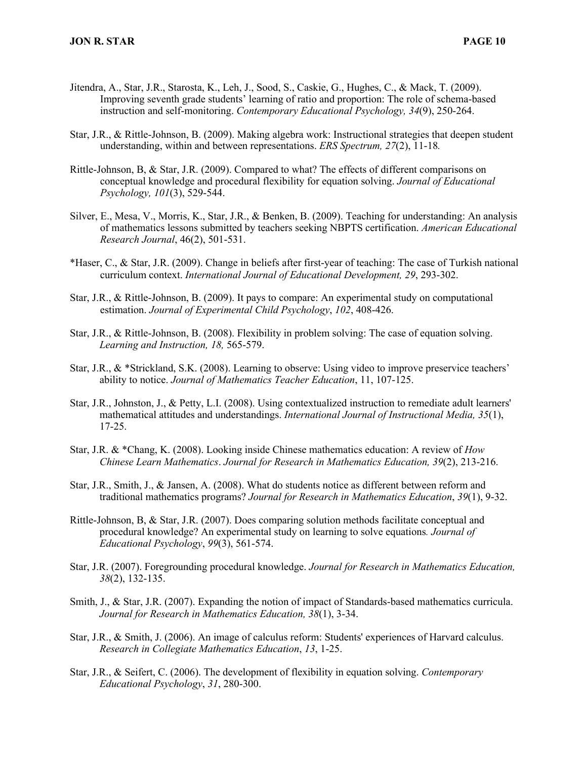- Jitendra, A., Star, J.R., Starosta, K., Leh, J., Sood, S., Caskie, G., Hughes, C., & Mack, T. (2009). Improving seventh grade students' learning of ratio and proportion: The role of schema-based instruction and self-monitoring. *Contemporary Educational Psychology, 34*(9), 250-264.
- Star, J.R., & Rittle-Johnson, B. (2009). Making algebra work: Instructional strategies that deepen student understanding, within and between representations. *ERS Spectrum, 27*(2), 11-18*.*
- Rittle-Johnson, B, & Star, J.R. (2009). Compared to what? The effects of different comparisons on conceptual knowledge and procedural flexibility for equation solving. *Journal of Educational Psychology, 101*(3), 529-544.
- Silver, E., Mesa, V., Morris, K., Star, J.R., & Benken, B. (2009). Teaching for understanding: An analysis of mathematics lessons submitted by teachers seeking NBPTS certification. *American Educational Research Journal*, 46(2), 501-531.
- \*Haser, C., & Star, J.R. (2009). Change in beliefs after first-year of teaching: The case of Turkish national curriculum context. *International Journal of Educational Development, 29*, 293-302.
- Star, J.R., & Rittle-Johnson, B. (2009). It pays to compare: An experimental study on computational estimation. *Journal of Experimental Child Psychology*, *102*, 408-426.
- Star, J.R., & Rittle-Johnson, B. (2008). Flexibility in problem solving: The case of equation solving. *Learning and Instruction, 18,* 565-579.
- Star, J.R., & \*Strickland, S.K. (2008). Learning to observe: Using video to improve preservice teachers' ability to notice. *Journal of Mathematics Teacher Education*, 11, 107-125.
- Star, J.R., Johnston, J., & Petty, L.I. (2008). Using contextualized instruction to remediate adult learners' mathematical attitudes and understandings. *International Journal of Instructional Media, 35*(1), 17-25.
- Star, J.R. & \*Chang, K. (2008). Looking inside Chinese mathematics education: A review of *How Chinese Learn Mathematics*. *Journal for Research in Mathematics Education, 39*(2), 213-216.
- Star, J.R., Smith, J., & Jansen, A. (2008). What do students notice as different between reform and traditional mathematics programs? *Journal for Research in Mathematics Education*, *39*(1), 9-32.
- Rittle-Johnson, B, & Star, J.R. (2007). Does comparing solution methods facilitate conceptual and procedural knowledge? An experimental study on learning to solve equations*. Journal of Educational Psychology*, *99*(3), 561-574.
- Star, J.R. (2007). Foregrounding procedural knowledge. *Journal for Research in Mathematics Education, 38*(2), 132-135.
- Smith, J., & Star, J.R. (2007). Expanding the notion of impact of Standards-based mathematics curricula. *Journal for Research in Mathematics Education, 38*(1), 3-34.
- Star, J.R., & Smith, J. (2006). An image of calculus reform: Students' experiences of Harvard calculus. *Research in Collegiate Mathematics Education*, *13*, 1-25.
- Star, J.R., & Seifert, C. (2006). The development of flexibility in equation solving. *Contemporary Educational Psychology*, *31*, 280-300.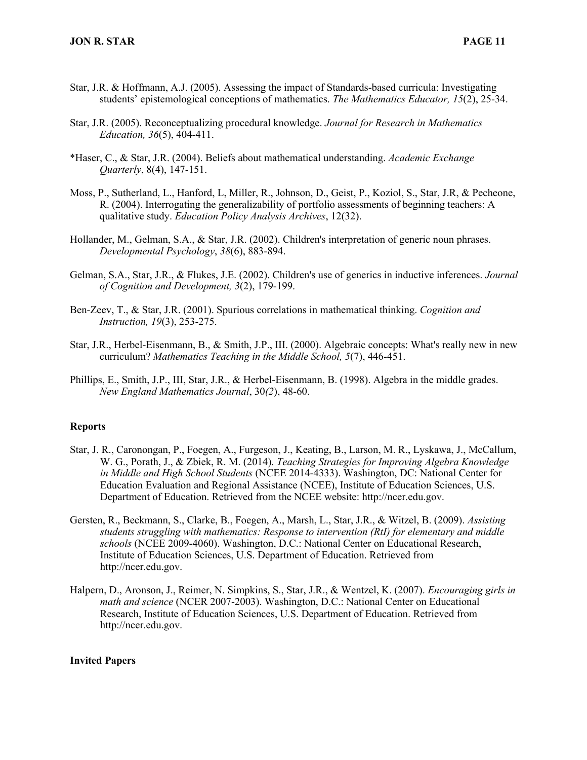- Star, J.R. & Hoffmann, A.J. (2005). Assessing the impact of Standards-based curricula: Investigating students' epistemological conceptions of mathematics. *The Mathematics Educator, 15*(2), 25-34.
- Star, J.R. (2005). Reconceptualizing procedural knowledge. *Journal for Research in Mathematics Education, 36*(5), 404-411.
- \*Haser, C., & Star, J.R. (2004). Beliefs about mathematical understanding. *Academic Exchange Quarterly*, 8(4), 147-151.
- Moss, P., Sutherland, L., Hanford, L, Miller, R., Johnson, D., Geist, P., Koziol, S., Star, J.R, & Pecheone, R. (2004). Interrogating the generalizability of portfolio assessments of beginning teachers: A qualitative study. *Education Policy Analysis Archives*, 12(32).
- Hollander, M., Gelman, S.A., & Star, J.R. (2002). Children's interpretation of generic noun phrases. *Developmental Psychology*, *38*(6), 883-894.
- Gelman, S.A., Star, J.R., & Flukes, J.E. (2002). Children's use of generics in inductive inferences. *Journal of Cognition and Development, 3*(2), 179-199.
- Ben-Zeev, T., & Star, J.R. (2001). Spurious correlations in mathematical thinking. *Cognition and Instruction, 19*(3), 253-275.
- Star, J.R., Herbel-Eisenmann, B., & Smith, J.P., III. (2000). Algebraic concepts: What's really new in new curriculum? *Mathematics Teaching in the Middle School, 5*(7), 446-451.
- Phillips, E., Smith, J.P., III, Star, J.R., & Herbel-Eisenmann, B. (1998). Algebra in the middle grades. *New England Mathematics Journal*, 30*(2*), 48-60.

#### **Reports**

- Star, J. R., Caronongan, P., Foegen, A., Furgeson, J., Keating, B., Larson, M. R., Lyskawa, J., McCallum, W. G., Porath, J., & Zbiek, R. M. (2014). *Teaching Strategies for Improving Algebra Knowledge in Middle and High School Students* (NCEE 2014-4333). Washington, DC: National Center for Education Evaluation and Regional Assistance (NCEE), Institute of Education Sciences, U.S. Department of Education. Retrieved from the NCEE website: http://ncer.edu.gov.
- Gersten, R., Beckmann, S., Clarke, B., Foegen, A., Marsh, L., Star, J.R., & Witzel, B. (2009). *Assisting students struggling with mathematics: Response to intervention (RtI) for elementary and middle schools* (NCEE 2009-4060). Washington, D.C.: National Center on Educational Research, Institute of Education Sciences, U.S. Department of Education. Retrieved from http://ncer.edu.gov.
- Halpern, D., Aronson, J., Reimer, N. Simpkins, S., Star, J.R., & Wentzel, K. (2007). *Encouraging girls in math and science* (NCER 2007-2003). Washington, D.C.: National Center on Educational Research, Institute of Education Sciences, U.S. Department of Education. Retrieved from http://ncer.edu.gov.

#### **Invited Papers**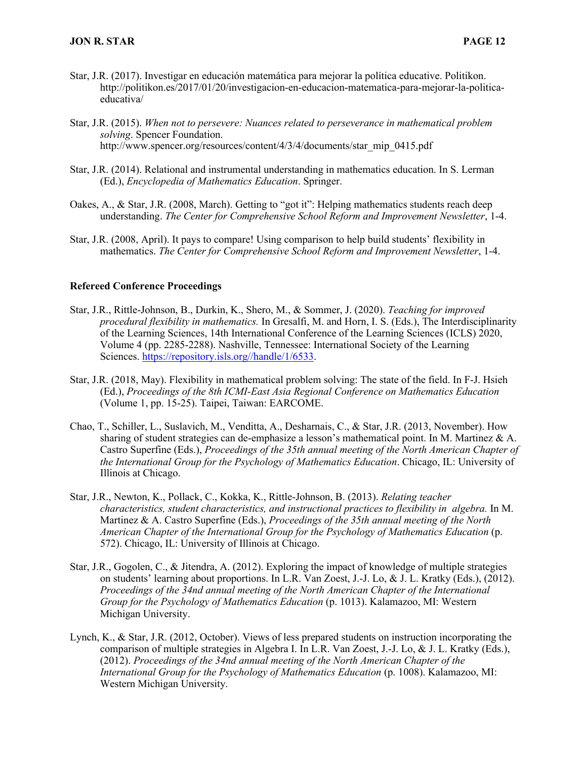- Star, J.R. (2017). Investigar en educación matemática para mejorar la política educative. Politikon. http://politikon.es/2017/01/20/investigacion-en-educacion-matematica-para-mejorar-la-politicaeducativa/
- Star, J.R. (2015). *When not to persevere: Nuances related to perseverance in mathematical problem solving*. Spencer Foundation. http://www.spencer.org/resources/content/4/3/4/documents/star\_mip\_0415.pdf
- Star, J.R. (2014). Relational and instrumental understanding in mathematics education. In S. Lerman (Ed.), *Encyclopedia of Mathematics Education*. Springer.
- Oakes, A., & Star, J.R. (2008, March). Getting to "got it": Helping mathematics students reach deep understanding. *The Center for Comprehensive School Reform and Improvement Newsletter*, 1-4.
- Star, J.R. (2008, April). It pays to compare! Using comparison to help build students' flexibility in mathematics. *The Center for Comprehensive School Reform and Improvement Newsletter*, 1-4.

#### **Refereed Conference Proceedings**

- Star, J.R., Rittle-Johnson, B., Durkin, K., Shero, M., & Sommer, J. (2020). *Teaching for improved procedural flexibility in mathematics.* In Gresalfi, M. and Horn, I. S. (Eds.), The Interdisciplinarity of the Learning Sciences, 14th International Conference of the Learning Sciences (ICLS) 2020, Volume 4 (pp. 2285-2288). Nashville, Tennessee: International Society of the Learning Sciences. https://repository.isls.org//handle/1/6533.
- Star, J.R. (2018, May). Flexibility in mathematical problem solving: The state of the field. In F-J. Hsieh (Ed.), *Proceedings of the 8th ICMI-East Asia Regional Conference on Mathematics Education* (Volume 1, pp. 15-25). Taipei, Taiwan: EARCOME.
- Chao, T., Schiller, L., Suslavich, M., Venditta, A., Desharnais, C., & Star, J.R. (2013, November). How sharing of student strategies can de-emphasize a lesson's mathematical point. In M. Martinez & A. Castro Superfine (Eds.), *Proceedings of the 35th annual meeting of the North American Chapter of the International Group for the Psychology of Mathematics Education*. Chicago, IL: University of Illinois at Chicago.
- Star, J.R., Newton, K., Pollack, C., Kokka, K., Rittle-Johnson, B. (2013). *Relating teacher characteristics, student characteristics, and instructional practices to flexibility in algebra.* In M. Martinez & A. Castro Superfine (Eds.), *Proceedings of the 35th annual meeting of the North American Chapter of the International Group for the Psychology of Mathematics Education* (p. 572). Chicago, IL: University of Illinois at Chicago.
- Star, J.R., Gogolen, C., & Jitendra, A. (2012). Exploring the impact of knowledge of multiple strategies on students' learning about proportions. In L.R. Van Zoest, J.-J. Lo, & J. L. Kratky (Eds.), (2012). *Proceedings of the 34nd annual meeting of the North American Chapter of the International Group for the Psychology of Mathematics Education* (p. 1013). Kalamazoo, MI: Western Michigan University.
- Lynch, K., & Star, J.R. (2012, October). Views of less prepared students on instruction incorporating the comparison of multiple strategies in Algebra I. In L.R. Van Zoest, J.-J. Lo, & J. L. Kratky (Eds.), (2012). *Proceedings of the 34nd annual meeting of the North American Chapter of the International Group for the Psychology of Mathematics Education* (p. 1008). Kalamazoo, MI: Western Michigan University.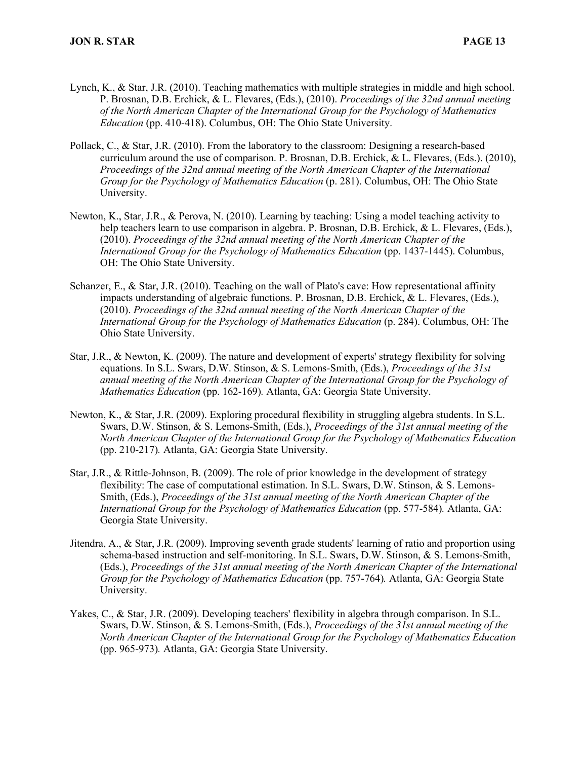- Lynch, K., & Star, J.R. (2010). Teaching mathematics with multiple strategies in middle and high school. P. Brosnan, D.B. Erchick, & L. Flevares, (Eds.), (2010). *Proceedings of the 32nd annual meeting of the North American Chapter of the International Group for the Psychology of Mathematics Education* (pp. 410-418). Columbus, OH: The Ohio State University.
- Pollack, C., & Star, J.R. (2010). From the laboratory to the classroom: Designing a research-based curriculum around the use of comparison. P. Brosnan, D.B. Erchick, & L. Flevares, (Eds.). (2010), *Proceedings of the 32nd annual meeting of the North American Chapter of the International Group for the Psychology of Mathematics Education* (p. 281). Columbus, OH: The Ohio State University.
- Newton, K., Star, J.R., & Perova, N. (2010). Learning by teaching: Using a model teaching activity to help teachers learn to use comparison in algebra. P. Brosnan, D.B. Erchick, & L. Flevares, (Eds.), (2010). *Proceedings of the 32nd annual meeting of the North American Chapter of the International Group for the Psychology of Mathematics Education* (pp. 1437-1445). Columbus, OH: The Ohio State University.
- Schanzer, E., & Star, J.R. (2010). Teaching on the wall of Plato's cave: How representational affinity impacts understanding of algebraic functions. P. Brosnan, D.B. Erchick, & L. Flevares, (Eds.), (2010). *Proceedings of the 32nd annual meeting of the North American Chapter of the International Group for the Psychology of Mathematics Education* (p. 284). Columbus, OH: The Ohio State University.
- Star, J.R., & Newton, K. (2009). The nature and development of experts' strategy flexibility for solving equations. In S.L. Swars, D.W. Stinson, & S. Lemons-Smith, (Eds.), *Proceedings of the 31st annual meeting of the North American Chapter of the International Group for the Psychology of Mathematics Education* (pp. 162-169)*.* Atlanta, GA: Georgia State University.
- Newton, K., & Star, J.R. (2009). Exploring procedural flexibility in struggling algebra students. In S.L. Swars, D.W. Stinson, & S. Lemons-Smith, (Eds.), *Proceedings of the 31st annual meeting of the North American Chapter of the International Group for the Psychology of Mathematics Education* (pp. 210-217)*.* Atlanta, GA: Georgia State University.
- Star, J.R., & Rittle-Johnson, B. (2009). The role of prior knowledge in the development of strategy flexibility: The case of computational estimation. In S.L. Swars, D.W. Stinson, & S. Lemons-Smith, (Eds.), *Proceedings of the 31st annual meeting of the North American Chapter of the International Group for the Psychology of Mathematics Education* (pp. 577-584)*.* Atlanta, GA: Georgia State University.
- Jitendra, A., & Star, J.R. (2009). Improving seventh grade students' learning of ratio and proportion using schema-based instruction and self-monitoring. In S.L. Swars, D.W. Stinson, & S. Lemons-Smith, (Eds.), *Proceedings of the 31st annual meeting of the North American Chapter of the International Group for the Psychology of Mathematics Education* (pp. 757-764)*.* Atlanta, GA: Georgia State University.
- Yakes, C., & Star, J.R. (2009). Developing teachers' flexibility in algebra through comparison. In S.L. Swars, D.W. Stinson, & S. Lemons-Smith, (Eds.), *Proceedings of the 31st annual meeting of the North American Chapter of the International Group for the Psychology of Mathematics Education* (pp. 965-973)*.* Atlanta, GA: Georgia State University.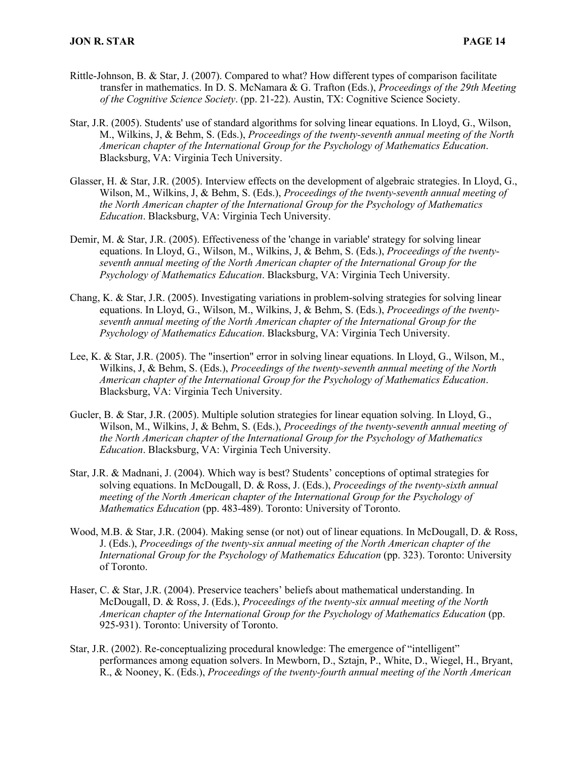- Rittle-Johnson, B. & Star, J. (2007). Compared to what? How different types of comparison facilitate transfer in mathematics. In D. S. McNamara & G. Trafton (Eds.), *Proceedings of the 29th Meeting of the Cognitive Science Society*. (pp. 21-22). Austin, TX: Cognitive Science Society.
- Star, J.R. (2005). Students' use of standard algorithms for solving linear equations. In Lloyd, G., Wilson, M., Wilkins, J, & Behm, S. (Eds.), *Proceedings of the twenty-seventh annual meeting of the North American chapter of the International Group for the Psychology of Mathematics Education*. Blacksburg, VA: Virginia Tech University.
- Glasser, H. & Star, J.R. (2005). Interview effects on the development of algebraic strategies. In Lloyd, G., Wilson, M., Wilkins, J, & Behm, S. (Eds.), *Proceedings of the twenty-seventh annual meeting of the North American chapter of the International Group for the Psychology of Mathematics Education*. Blacksburg, VA: Virginia Tech University.
- Demir, M. & Star, J.R. (2005). Effectiveness of the 'change in variable' strategy for solving linear equations. In Lloyd, G., Wilson, M., Wilkins, J, & Behm, S. (Eds.), *Proceedings of the twentyseventh annual meeting of the North American chapter of the International Group for the Psychology of Mathematics Education*. Blacksburg, VA: Virginia Tech University.
- Chang, K. & Star, J.R. (2005). Investigating variations in problem-solving strategies for solving linear equations. In Lloyd, G., Wilson, M., Wilkins, J, & Behm, S. (Eds.), *Proceedings of the twentyseventh annual meeting of the North American chapter of the International Group for the Psychology of Mathematics Education*. Blacksburg, VA: Virginia Tech University.
- Lee, K. & Star, J.R. (2005). The "insertion" error in solving linear equations. In Lloyd, G., Wilson, M., Wilkins, J, & Behm, S. (Eds.), *Proceedings of the twenty-seventh annual meeting of the North American chapter of the International Group for the Psychology of Mathematics Education*. Blacksburg, VA: Virginia Tech University.
- Gucler, B. & Star, J.R. (2005). Multiple solution strategies for linear equation solving. In Lloyd, G., Wilson, M., Wilkins, J, & Behm, S. (Eds.), *Proceedings of the twenty-seventh annual meeting of the North American chapter of the International Group for the Psychology of Mathematics Education*. Blacksburg, VA: Virginia Tech University.
- Star, J.R. & Madnani, J. (2004). Which way is best? Students' conceptions of optimal strategies for solving equations. In McDougall, D. & Ross, J. (Eds.), *Proceedings of the twenty-sixth annual meeting of the North American chapter of the International Group for the Psychology of Mathematics Education* (pp. 483-489). Toronto: University of Toronto.
- Wood, M.B. & Star, J.R. (2004). Making sense (or not) out of linear equations. In McDougall, D. & Ross, J. (Eds.), *Proceedings of the twenty-six annual meeting of the North American chapter of the International Group for the Psychology of Mathematics Education* (pp. 323). Toronto: University of Toronto.
- Haser, C. & Star, J.R. (2004). Preservice teachers' beliefs about mathematical understanding. In McDougall, D. & Ross, J. (Eds.), *Proceedings of the twenty-six annual meeting of the North American chapter of the International Group for the Psychology of Mathematics Education* (pp. 925-931). Toronto: University of Toronto.
- Star, J.R. (2002). Re-conceptualizing procedural knowledge: The emergence of "intelligent" performances among equation solvers. In Mewborn, D., Sztajn, P., White, D., Wiegel, H., Bryant, R., & Nooney, K. (Eds.), *Proceedings of the twenty-fourth annual meeting of the North American*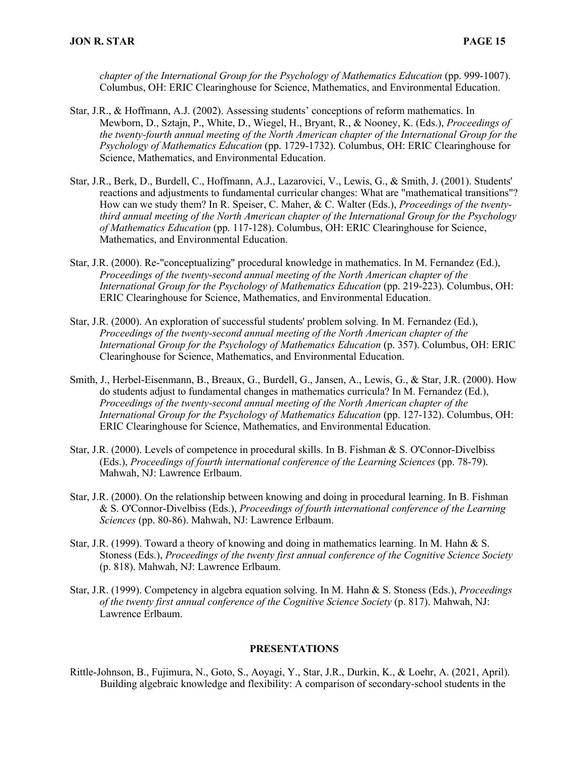*chapter of the International Group for the Psychology of Mathematics Education* (pp. 999-1007). Columbus, OH: ERIC Clearinghouse for Science, Mathematics, and Environmental Education.

- Star, J.R., & Hoffmann, A.J. (2002). Assessing students' conceptions of reform mathematics. In Mewborn, D., Sztajn, P., White, D., Wiegel, H., Bryant, R., & Nooney, K. (Eds.), *Proceedings of the twenty-fourth annual meeting of the North American chapter of the International Group for the Psychology of Mathematics Education* (pp. 1729-1732). Columbus, OH: ERIC Clearinghouse for Science, Mathematics, and Environmental Education.
- Star, J.R., Berk, D., Burdell, C., Hoffmann, A.J., Lazarovici, V., Lewis, G., & Smith, J. (2001). Students' reactions and adjustments to fundamental curricular changes: What are "mathematical transitions"? How can we study them? In R. Speiser, C. Maher, & C. Walter (Eds.), *Proceedings of the twentythird annual meeting of the North American chapter of the International Group for the Psychology of Mathematics Education* (pp. 117-128). Columbus, OH: ERIC Clearinghouse for Science, Mathematics, and Environmental Education.
- Star, J.R. (2000). Re-"conceptualizing" procedural knowledge in mathematics. In M. Fernandez (Ed.), *Proceedings of the twenty-second annual meeting of the North American chapter of the International Group for the Psychology of Mathematics Education* (pp. 219-223). Columbus, OH: ERIC Clearinghouse for Science, Mathematics, and Environmental Education.
- Star, J.R. (2000). An exploration of successful students' problem solving. In M. Fernandez (Ed.), *Proceedings of the twenty-second annual meeting of the North American chapter of the International Group for the Psychology of Mathematics Education* (p. 357). Columbus, OH: ERIC Clearinghouse for Science, Mathematics, and Environmental Education.
- Smith, J., Herbel-Eisenmann, B., Breaux, G., Burdell, G., Jansen, A., Lewis, G., & Star, J.R. (2000). How do students adjust to fundamental changes in mathematics curricula? In M. Fernandez (Ed.), *Proceedings of the twenty-second annual meeting of the North American chapter of the International Group for the Psychology of Mathematics Education* (pp. 127-132). Columbus, OH: ERIC Clearinghouse for Science, Mathematics, and Environmental Education.
- Star, J.R. (2000). Levels of competence in procedural skills. In B. Fishman & S. O'Connor-Divelbiss (Eds.), *Proceedings of fourth international conference of the Learning Sciences* (pp. 78-79). Mahwah, NJ: Lawrence Erlbaum.
- Star, J.R. (2000). On the relationship between knowing and doing in procedural learning. In B. Fishman & S. O'Connor-Divelbiss (Eds.), *Proceedings of fourth international conference of the Learning Sciences* (pp. 80-86). Mahwah, NJ: Lawrence Erlbaum.
- Star, J.R. (1999). Toward a theory of knowing and doing in mathematics learning. In M. Hahn & S. Stoness (Eds.), *Proceedings of the twenty first annual conference of the Cognitive Science Society* (p. 818). Mahwah, NJ: Lawrence Erlbaum.
- Star, J.R. (1999). Competency in algebra equation solving. In M. Hahn & S. Stoness (Eds.), *Proceedings of the twenty first annual conference of the Cognitive Science Society* (p. 817). Mahwah, NJ: Lawrence Erlbaum.

#### **PRESENTATIONS**

Rittle-Johnson, B., Fujimura, N., Goto, S., Aoyagi, Y., Star, J.R., Durkin, K., & Loehr, A. (2021, April). Building algebraic knowledge and flexibility: A comparison of secondary-school students in the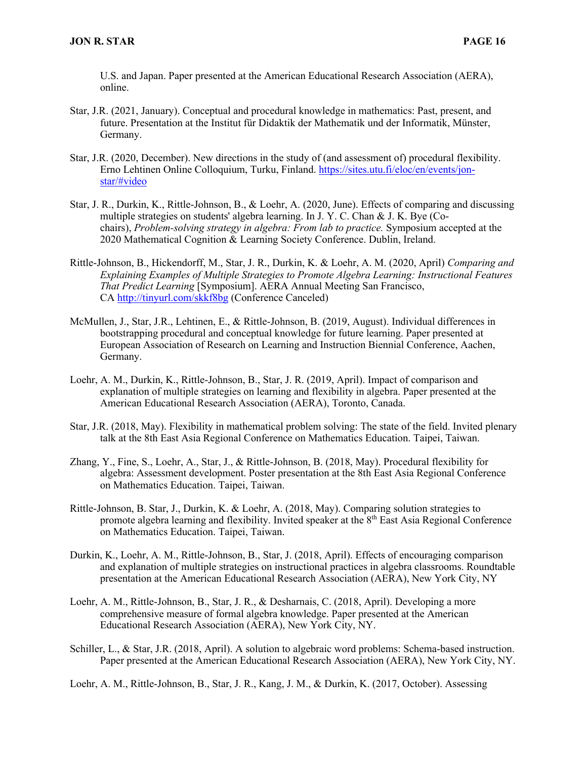U.S. and Japan. Paper presented at the American Educational Research Association (AERA), online.

- Star, J.R. (2021, January). Conceptual and procedural knowledge in mathematics: Past, present, and future. Presentation at the Institut für Didaktik der Mathematik und der Informatik, Münster, Germany.
- Star, J.R. (2020, December). New directions in the study of (and assessment of) procedural flexibility. Erno Lehtinen Online Colloquium, Turku, Finland. https://sites.utu.fi/eloc/en/events/jonstar/#video
- Star, J. R., Durkin, K., Rittle-Johnson, B., & Loehr, A. (2020, June). Effects of comparing and discussing multiple strategies on students' algebra learning. In J. Y. C. Chan & J. K. Bye (Cochairs), *Problem-solving strategy in algebra: From lab to practice.* Symposium accepted at the 2020 Mathematical Cognition & Learning Society Conference. Dublin, Ireland.
- Rittle-Johnson, B., Hickendorff, M., Star, J. R., Durkin, K. & Loehr, A. M. (2020, April) *Comparing and Explaining Examples of Multiple Strategies to Promote Algebra Learning: Instructional Features That Predict Learning* [Symposium]. AERA Annual Meeting San Francisco, CA http://tinyurl.com/skkf8bg (Conference Canceled)
- McMullen, J., Star, J.R., Lehtinen, E., & Rittle-Johnson, B. (2019, August). Individual differences in bootstrapping procedural and conceptual knowledge for future learning. Paper presented at European Association of Research on Learning and Instruction Biennial Conference, Aachen, Germany.
- Loehr, A. M., Durkin, K., Rittle-Johnson, B., Star, J. R. (2019, April). Impact of comparison and explanation of multiple strategies on learning and flexibility in algebra. Paper presented at the American Educational Research Association (AERA), Toronto, Canada.
- Star, J.R. (2018, May). Flexibility in mathematical problem solving: The state of the field. Invited plenary talk at the 8th East Asia Regional Conference on Mathematics Education. Taipei, Taiwan.
- Zhang, Y., Fine, S., Loehr, A., Star, J., & Rittle-Johnson, B. (2018, May). Procedural flexibility for algebra: Assessment development. Poster presentation at the 8th East Asia Regional Conference on Mathematics Education. Taipei, Taiwan.
- Rittle-Johnson, B. Star, J., Durkin, K. & Loehr, A. (2018, May). Comparing solution strategies to promote algebra learning and flexibility. Invited speaker at the  $8<sup>th</sup>$  East Asia Regional Conference on Mathematics Education. Taipei, Taiwan.
- Durkin, K., Loehr, A. M., Rittle-Johnson, B., Star, J. (2018, April). Effects of encouraging comparison and explanation of multiple strategies on instructional practices in algebra classrooms. Roundtable presentation at the American Educational Research Association (AERA), New York City, NY
- Loehr, A. M., Rittle-Johnson, B., Star, J. R., & Desharnais, C. (2018, April). Developing a more comprehensive measure of formal algebra knowledge. Paper presented at the American Educational Research Association (AERA), New York City, NY.
- Schiller, L., & Star, J.R. (2018, April). A solution to algebraic word problems: Schema-based instruction. Paper presented at the American Educational Research Association (AERA), New York City, NY.
- Loehr, A. M., Rittle-Johnson, B., Star, J. R., Kang, J. M., & Durkin, K. (2017, October). Assessing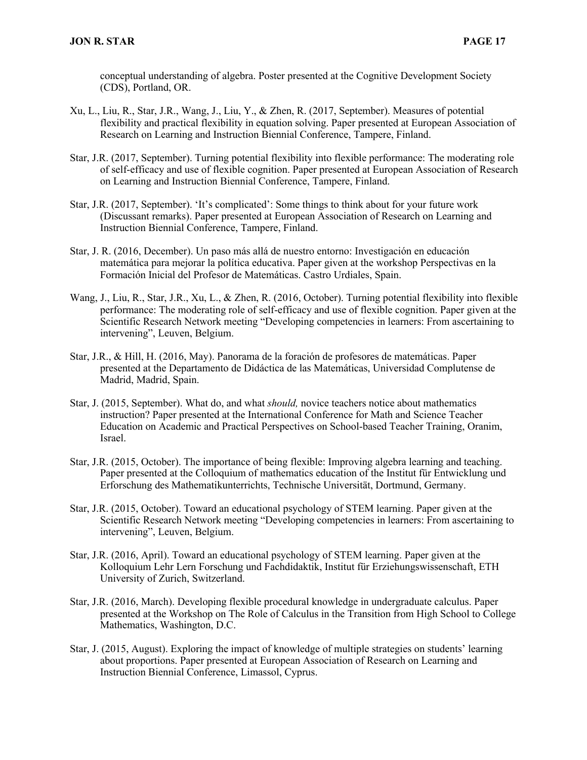conceptual understanding of algebra. Poster presented at the Cognitive Development Society (CDS), Portland, OR.

- Xu, L., Liu, R., Star, J.R., Wang, J., Liu, Y., & Zhen, R. (2017, September). Measures of potential flexibility and practical flexibility in equation solving. Paper presented at European Association of Research on Learning and Instruction Biennial Conference, Tampere, Finland.
- Star, J.R. (2017, September). Turning potential flexibility into flexible performance: The moderating role of self-efficacy and use of flexible cognition. Paper presented at European Association of Research on Learning and Instruction Biennial Conference, Tampere, Finland.
- Star, J.R. (2017, September). 'It's complicated': Some things to think about for your future work (Discussant remarks). Paper presented at European Association of Research on Learning and Instruction Biennial Conference, Tampere, Finland.
- Star, J. R. (2016, December). Un paso más allá de nuestro entorno: Investigación en educación matemática para mejorar la política educativa. Paper given at the workshop Perspectivas en la Formación Inicial del Profesor de Matemáticas. Castro Urdiales, Spain.
- Wang, J., Liu, R., Star, J.R., Xu, L., & Zhen, R. (2016, October). Turning potential flexibility into flexible performance: The moderating role of self-efficacy and use of flexible cognition. Paper given at the Scientific Research Network meeting "Developing competencies in learners: From ascertaining to intervening", Leuven, Belgium.
- Star, J.R., & Hill, H. (2016, May). Panorama de la foración de profesores de matemáticas. Paper presented at the Departamento de Didáctica de las Matemáticas, Universidad Complutense de Madrid, Madrid, Spain.
- Star, J. (2015, September). What do, and what *should,* novice teachers notice about mathematics instruction? Paper presented at the International Conference for Math and Science Teacher Education on Academic and Practical Perspectives on School-based Teacher Training, Oranim, Israel.
- Star, J.R. (2015, October). The importance of being flexible: Improving algebra learning and teaching. Paper presented at the Colloquium of mathematics education of the Institut für Entwicklung und Erforschung des Mathematikunterrichts, Technische Universität, Dortmund, Germany.
- Star, J.R. (2015, October). Toward an educational psychology of STEM learning. Paper given at the Scientific Research Network meeting "Developing competencies in learners: From ascertaining to intervening", Leuven, Belgium.
- Star, J.R. (2016, April). Toward an educational psychology of STEM learning. Paper given at the Kolloquium Lehr Lern Forschung und Fachdidaktik, Institut für Erziehungswissenschaft, ETH University of Zurich, Switzerland.
- Star, J.R. (2016, March). Developing flexible procedural knowledge in undergraduate calculus. Paper presented at the Workshop on The Role of Calculus in the Transition from High School to College Mathematics, Washington, D.C.
- Star, J. (2015, August). Exploring the impact of knowledge of multiple strategies on students' learning about proportions. Paper presented at European Association of Research on Learning and Instruction Biennial Conference, Limassol, Cyprus.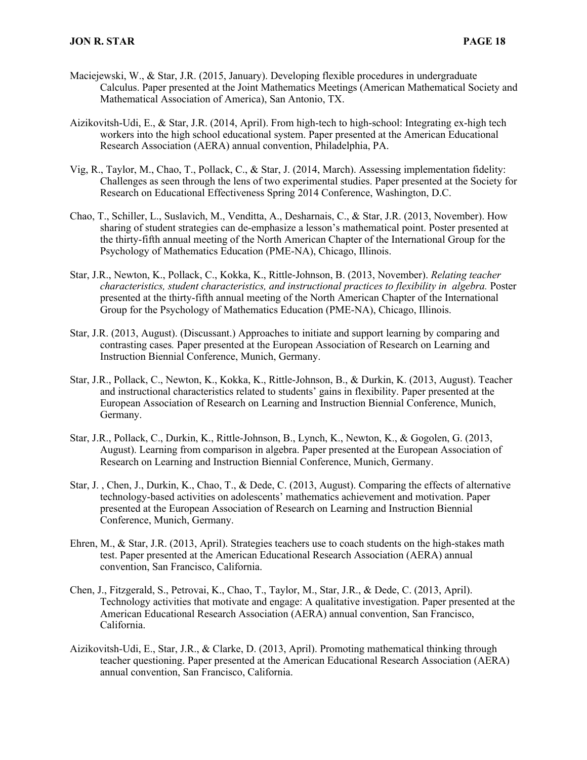- Maciejewski, W., & Star, J.R. (2015, January). Developing flexible procedures in undergraduate Calculus. Paper presented at the Joint Mathematics Meetings (American Mathematical Society and Mathematical Association of America), San Antonio, TX.
- Aizikovitsh-Udi, E., & Star, J.R. (2014, April). From high-tech to high-school: Integrating ex-high tech workers into the high school educational system. Paper presented at the American Educational Research Association (AERA) annual convention, Philadelphia, PA.
- Vig, R., Taylor, M., Chao, T., Pollack, C., & Star, J. (2014, March). Assessing implementation fidelity: Challenges as seen through the lens of two experimental studies. Paper presented at the Society for Research on Educational Effectiveness Spring 2014 Conference, Washington, D.C.
- Chao, T., Schiller, L., Suslavich, M., Venditta, A., Desharnais, C., & Star, J.R. (2013, November). How sharing of student strategies can de-emphasize a lesson's mathematical point. Poster presented at the thirty-fifth annual meeting of the North American Chapter of the International Group for the Psychology of Mathematics Education (PME-NA), Chicago, Illinois.
- Star, J.R., Newton, K., Pollack, C., Kokka, K., Rittle-Johnson, B. (2013, November). *Relating teacher characteristics, student characteristics, and instructional practices to flexibility in algebra.* Poster presented at the thirty-fifth annual meeting of the North American Chapter of the International Group for the Psychology of Mathematics Education (PME-NA), Chicago, Illinois.
- Star, J.R. (2013, August). (Discussant.) Approaches to initiate and support learning by comparing and contrasting cases*.* Paper presented at the European Association of Research on Learning and Instruction Biennial Conference, Munich, Germany.
- Star, J.R., Pollack, C., Newton, K., Kokka, K., Rittle-Johnson, B., & Durkin, K. (2013, August). Teacher and instructional characteristics related to students' gains in flexibility. Paper presented at the European Association of Research on Learning and Instruction Biennial Conference, Munich, Germany.
- Star, J.R., Pollack, C., Durkin, K., Rittle-Johnson, B., Lynch, K., Newton, K., & Gogolen, G. (2013, August). Learning from comparison in algebra. Paper presented at the European Association of Research on Learning and Instruction Biennial Conference, Munich, Germany.
- Star, J. , Chen, J., Durkin, K., Chao, T., & Dede, C. (2013, August). Comparing the effects of alternative technology-based activities on adolescents' mathematics achievement and motivation. Paper presented at the European Association of Research on Learning and Instruction Biennial Conference, Munich, Germany.
- Ehren, M., & Star, J.R. (2013, April). Strategies teachers use to coach students on the high-stakes math test. Paper presented at the American Educational Research Association (AERA) annual convention, San Francisco, California.
- Chen, J., Fitzgerald, S., Petrovai, K., Chao, T., Taylor, M., Star, J.R., & Dede, C. (2013, April). Technology activities that motivate and engage: A qualitative investigation. Paper presented at the American Educational Research Association (AERA) annual convention, San Francisco, California.
- Aizikovitsh-Udi, E., Star, J.R., & Clarke, D. (2013, April). Promoting mathematical thinking through teacher questioning. Paper presented at the American Educational Research Association (AERA) annual convention, San Francisco, California.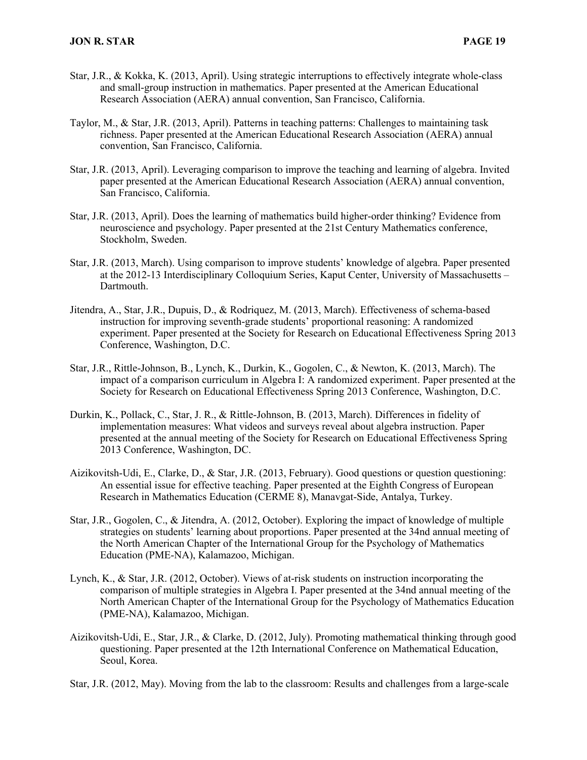- Star, J.R., & Kokka, K. (2013, April). Using strategic interruptions to effectively integrate whole-class and small-group instruction in mathematics. Paper presented at the American Educational Research Association (AERA) annual convention, San Francisco, California.
- Taylor, M., & Star, J.R. (2013, April). Patterns in teaching patterns: Challenges to maintaining task richness. Paper presented at the American Educational Research Association (AERA) annual convention, San Francisco, California.
- Star, J.R. (2013, April). Leveraging comparison to improve the teaching and learning of algebra. Invited paper presented at the American Educational Research Association (AERA) annual convention, San Francisco, California.
- Star, J.R. (2013, April). Does the learning of mathematics build higher-order thinking? Evidence from neuroscience and psychology. Paper presented at the 21st Century Mathematics conference, Stockholm, Sweden.
- Star, J.R. (2013, March). Using comparison to improve students' knowledge of algebra. Paper presented at the 2012-13 Interdisciplinary Colloquium Series, Kaput Center, University of Massachusetts – Dartmouth.
- Jitendra, A., Star, J.R., Dupuis, D., & Rodriquez, M. (2013, March). Effectiveness of schema-based instruction for improving seventh-grade students' proportional reasoning: A randomized experiment. Paper presented at the Society for Research on Educational Effectiveness Spring 2013 Conference, Washington, D.C.
- Star, J.R., Rittle-Johnson, B., Lynch, K., Durkin, K., Gogolen, C., & Newton, K. (2013, March). The impact of a comparison curriculum in Algebra I: A randomized experiment. Paper presented at the Society for Research on Educational Effectiveness Spring 2013 Conference, Washington, D.C.
- Durkin, K., Pollack, C., Star, J. R., & Rittle-Johnson, B. (2013, March). Differences in fidelity of implementation measures: What videos and surveys reveal about algebra instruction. Paper presented at the annual meeting of the Society for Research on Educational Effectiveness Spring 2013 Conference, Washington, DC.
- Aizikovitsh-Udi, E., Clarke, D., & Star, J.R. (2013, February). Good questions or question questioning: An essential issue for effective teaching. Paper presented at the Eighth Congress of European Research in Mathematics Education (CERME 8), Manavgat-Side, Antalya, Turkey.
- Star, J.R., Gogolen, C., & Jitendra, A. (2012, October). Exploring the impact of knowledge of multiple strategies on students' learning about proportions. Paper presented at the 34nd annual meeting of the North American Chapter of the International Group for the Psychology of Mathematics Education (PME-NA), Kalamazoo, Michigan.
- Lynch, K., & Star, J.R. (2012, October). Views of at-risk students on instruction incorporating the comparison of multiple strategies in Algebra I. Paper presented at the 34nd annual meeting of the North American Chapter of the International Group for the Psychology of Mathematics Education (PME-NA), Kalamazoo, Michigan.
- Aizikovitsh-Udi, E., Star, J.R., & Clarke, D. (2012, July). Promoting mathematical thinking through good questioning. Paper presented at the 12th International Conference on Mathematical Education, Seoul, Korea.
- Star, J.R. (2012, May). Moving from the lab to the classroom: Results and challenges from a large-scale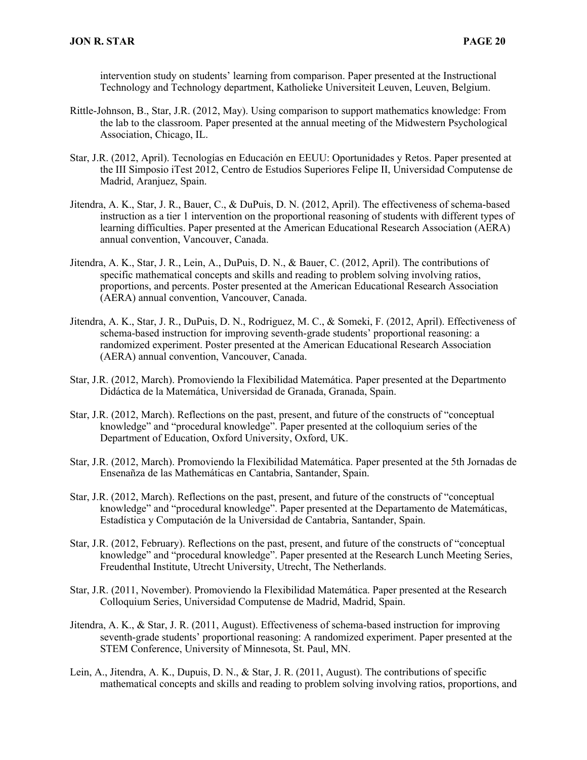intervention study on students' learning from comparison. Paper presented at the Instructional Technology and Technology department, Katholieke Universiteit Leuven, Leuven, Belgium.

- Rittle-Johnson, B., Star, J.R. (2012, May). Using comparison to support mathematics knowledge: From the lab to the classroom. Paper presented at the annual meeting of the Midwestern Psychological Association, Chicago, IL.
- Star, J.R. (2012, April). Tecnologías en Educación en EEUU: Oportunidades y Retos. Paper presented at the III Simposio iTest 2012, Centro de Estudios Superiores Felipe II, Universidad Computense de Madrid, Aranjuez, Spain.
- Jitendra, A. K., Star, J. R., Bauer, C., & DuPuis, D. N. (2012, April). The effectiveness of schema-based instruction as a tier 1 intervention on the proportional reasoning of students with different types of learning difficulties. Paper presented at the American Educational Research Association (AERA) annual convention, Vancouver, Canada.
- Jitendra, A. K., Star, J. R., Lein, A., DuPuis, D. N., & Bauer, C. (2012, April). The contributions of specific mathematical concepts and skills and reading to problem solving involving ratios, proportions, and percents. Poster presented at the American Educational Research Association (AERA) annual convention, Vancouver, Canada.
- Jitendra, A. K., Star, J. R., DuPuis, D. N., Rodriguez, M. C., & Someki, F. (2012, April). Effectiveness of schema-based instruction for improving seventh-grade students' proportional reasoning: a randomized experiment. Poster presented at the American Educational Research Association (AERA) annual convention, Vancouver, Canada.
- Star, J.R. (2012, March). Promoviendo la Flexibilidad Matemática. Paper presented at the Departmento Didáctica de la Matemática, Universidad de Granada, Granada, Spain.
- Star, J.R. (2012, March). Reflections on the past, present, and future of the constructs of "conceptual knowledge" and "procedural knowledge". Paper presented at the colloquium series of the Department of Education, Oxford University, Oxford, UK.
- Star, J.R. (2012, March). Promoviendo la Flexibilidad Matemática. Paper presented at the 5th Jornadas de Ensenañza de las Mathemáticas en Cantabria, Santander, Spain.
- Star, J.R. (2012, March). Reflections on the past, present, and future of the constructs of "conceptual knowledge" and "procedural knowledge". Paper presented at the Departamento de Matemáticas, Estadística y Computación de la Universidad de Cantabria, Santander, Spain.
- Star, J.R. (2012, February). Reflections on the past, present, and future of the constructs of "conceptual knowledge" and "procedural knowledge". Paper presented at the Research Lunch Meeting Series, Freudenthal Institute, Utrecht University, Utrecht, The Netherlands.
- Star, J.R. (2011, November). Promoviendo la Flexibilidad Matemática. Paper presented at the Research Colloquium Series, Universidad Computense de Madrid, Madrid, Spain.
- Jitendra, A. K., & Star, J. R. (2011, August). Effectiveness of schema-based instruction for improving seventh-grade students' proportional reasoning: A randomized experiment. Paper presented at the STEM Conference, University of Minnesota, St. Paul, MN.
- Lein, A., Jitendra, A. K., Dupuis, D. N., & Star, J. R. (2011, August). The contributions of specific mathematical concepts and skills and reading to problem solving involving ratios, proportions, and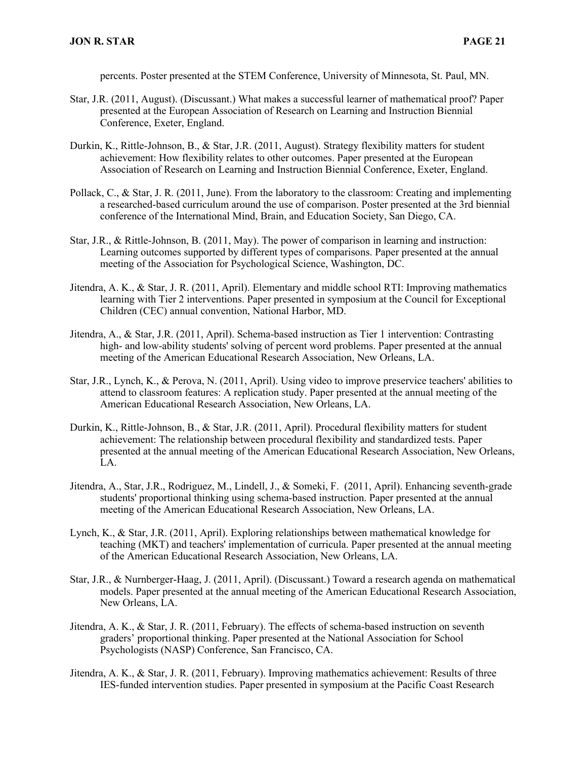percents. Poster presented at the STEM Conference, University of Minnesota, St. Paul, MN.

- Star, J.R. (2011, August). (Discussant.) What makes a successful learner of mathematical proof? Paper presented at the European Association of Research on Learning and Instruction Biennial Conference, Exeter, England.
- Durkin, K., Rittle-Johnson, B., & Star, J.R. (2011, August). Strategy flexibility matters for student achievement: How flexibility relates to other outcomes. Paper presented at the European Association of Research on Learning and Instruction Biennial Conference, Exeter, England.
- Pollack, C., & Star, J. R. (2011, June). From the laboratory to the classroom: Creating and implementing a researched-based curriculum around the use of comparison. Poster presented at the 3rd biennial conference of the International Mind, Brain, and Education Society, San Diego, CA.
- Star, J.R., & Rittle-Johnson, B. (2011, May). The power of comparison in learning and instruction: Learning outcomes supported by different types of comparisons. Paper presented at the annual meeting of the Association for Psychological Science, Washington, DC.
- Jitendra, A. K., & Star, J. R. (2011, April). Elementary and middle school RTI: Improving mathematics learning with Tier 2 interventions. Paper presented in symposium at the Council for Exceptional Children (CEC) annual convention, National Harbor, MD.
- Jitendra, A., & Star, J.R. (2011, April). Schema-based instruction as Tier 1 intervention: Contrasting high- and low-ability students' solving of percent word problems. Paper presented at the annual meeting of the American Educational Research Association, New Orleans, LA.
- Star, J.R., Lynch, K., & Perova, N. (2011, April). Using video to improve preservice teachers' abilities to attend to classroom features: A replication study. Paper presented at the annual meeting of the American Educational Research Association, New Orleans, LA.
- Durkin, K., Rittle-Johnson, B., & Star, J.R. (2011, April). Procedural flexibility matters for student achievement: The relationship between procedural flexibility and standardized tests. Paper presented at the annual meeting of the American Educational Research Association, New Orleans, LA.
- Jitendra, A., Star, J.R., Rodriguez, M., Lindell, J., & Someki, F. (2011, April). Enhancing seventh-grade students' proportional thinking using schema-based instruction. Paper presented at the annual meeting of the American Educational Research Association, New Orleans, LA.
- Lynch, K., & Star, J.R. (2011, April). Exploring relationships between mathematical knowledge for teaching (MKT) and teachers' implementation of curricula. Paper presented at the annual meeting of the American Educational Research Association, New Orleans, LA.
- Star, J.R., & Nurnberger-Haag, J. (2011, April). (Discussant.) Toward a research agenda on mathematical models. Paper presented at the annual meeting of the American Educational Research Association, New Orleans, LA.
- Jitendra, A. K., & Star, J. R. (2011, February). The effects of schema-based instruction on seventh graders' proportional thinking. Paper presented at the National Association for School Psychologists (NASP) Conference, San Francisco, CA.
- Jitendra, A. K., & Star, J. R. (2011, February). Improving mathematics achievement: Results of three IES-funded intervention studies. Paper presented in symposium at the Pacific Coast Research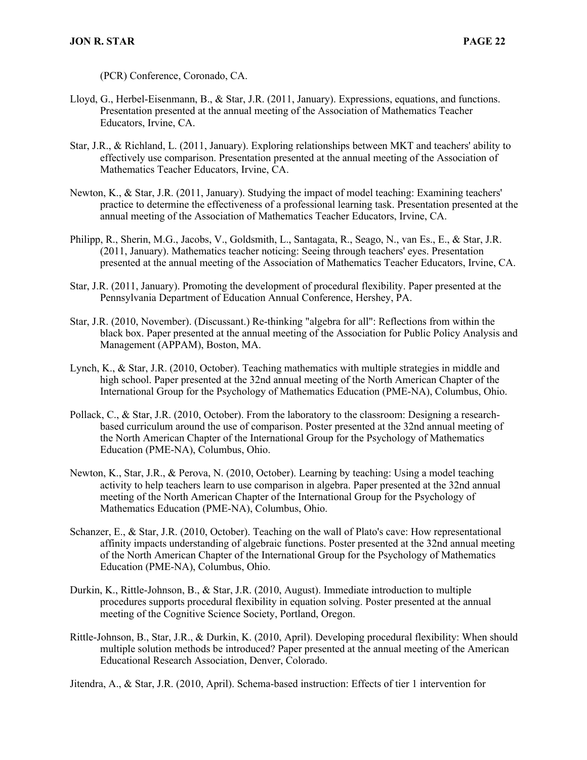(PCR) Conference, Coronado, CA.

- Lloyd, G., Herbel-Eisenmann, B., & Star, J.R. (2011, January). Expressions, equations, and functions. Presentation presented at the annual meeting of the Association of Mathematics Teacher Educators, Irvine, CA.
- Star, J.R., & Richland, L. (2011, January). Exploring relationships between MKT and teachers' ability to effectively use comparison. Presentation presented at the annual meeting of the Association of Mathematics Teacher Educators, Irvine, CA.
- Newton, K., & Star, J.R. (2011, January). Studying the impact of model teaching: Examining teachers' practice to determine the effectiveness of a professional learning task. Presentation presented at the annual meeting of the Association of Mathematics Teacher Educators, Irvine, CA.
- Philipp, R., Sherin, M.G., Jacobs, V., Goldsmith, L., Santagata, R., Seago, N., van Es., E., & Star, J.R. (2011, January). Mathematics teacher noticing: Seeing through teachers' eyes. Presentation presented at the annual meeting of the Association of Mathematics Teacher Educators, Irvine, CA.
- Star, J.R. (2011, January). Promoting the development of procedural flexibility. Paper presented at the Pennsylvania Department of Education Annual Conference, Hershey, PA.
- Star, J.R. (2010, November). (Discussant.) Re-thinking "algebra for all": Reflections from within the black box. Paper presented at the annual meeting of the Association for Public Policy Analysis and Management (APPAM), Boston, MA.
- Lynch, K., & Star, J.R. (2010, October). Teaching mathematics with multiple strategies in middle and high school. Paper presented at the 32nd annual meeting of the North American Chapter of the International Group for the Psychology of Mathematics Education (PME-NA), Columbus, Ohio.
- Pollack, C., & Star, J.R. (2010, October). From the laboratory to the classroom: Designing a researchbased curriculum around the use of comparison. Poster presented at the 32nd annual meeting of the North American Chapter of the International Group for the Psychology of Mathematics Education (PME-NA), Columbus, Ohio.
- Newton, K., Star, J.R., & Perova, N. (2010, October). Learning by teaching: Using a model teaching activity to help teachers learn to use comparison in algebra. Paper presented at the 32nd annual meeting of the North American Chapter of the International Group for the Psychology of Mathematics Education (PME-NA), Columbus, Ohio.
- Schanzer, E., & Star, J.R. (2010, October). Teaching on the wall of Plato's cave: How representational affinity impacts understanding of algebraic functions. Poster presented at the 32nd annual meeting of the North American Chapter of the International Group for the Psychology of Mathematics Education (PME-NA), Columbus, Ohio.
- Durkin, K., Rittle-Johnson, B., & Star, J.R. (2010, August). Immediate introduction to multiple procedures supports procedural flexibility in equation solving. Poster presented at the annual meeting of the Cognitive Science Society, Portland, Oregon.
- Rittle-Johnson, B., Star, J.R., & Durkin, K. (2010, April). Developing procedural flexibility: When should multiple solution methods be introduced? Paper presented at the annual meeting of the American Educational Research Association, Denver, Colorado.

Jitendra, A., & Star, J.R. (2010, April). Schema-based instruction: Effects of tier 1 intervention for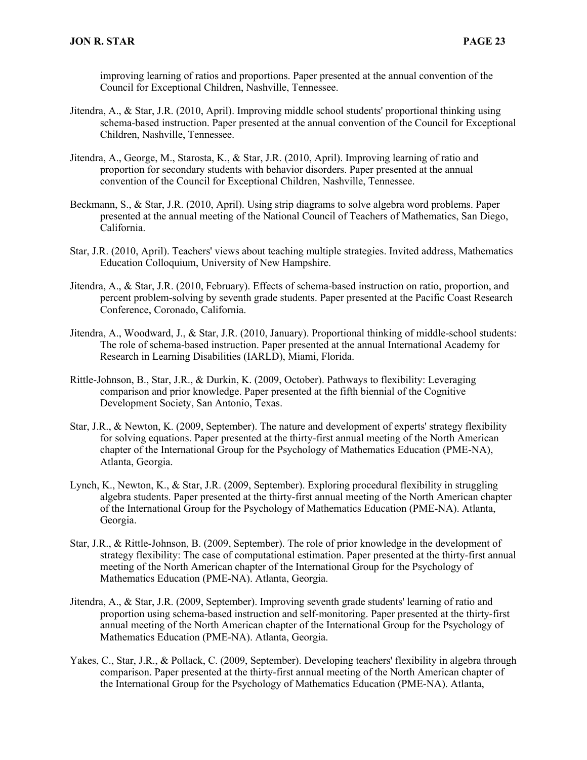improving learning of ratios and proportions. Paper presented at the annual convention of the Council for Exceptional Children, Nashville, Tennessee.

- Jitendra, A., & Star, J.R. (2010, April). Improving middle school students' proportional thinking using schema-based instruction. Paper presented at the annual convention of the Council for Exceptional Children, Nashville, Tennessee.
- Jitendra, A., George, M., Starosta, K., & Star, J.R. (2010, April). Improving learning of ratio and proportion for secondary students with behavior disorders. Paper presented at the annual convention of the Council for Exceptional Children, Nashville, Tennessee.
- Beckmann, S., & Star, J.R. (2010, April). Using strip diagrams to solve algebra word problems. Paper presented at the annual meeting of the National Council of Teachers of Mathematics, San Diego, California.
- Star, J.R. (2010, April). Teachers' views about teaching multiple strategies. Invited address, Mathematics Education Colloquium, University of New Hampshire.
- Jitendra, A., & Star, J.R. (2010, February). Effects of schema-based instruction on ratio, proportion, and percent problem-solving by seventh grade students. Paper presented at the Pacific Coast Research Conference, Coronado, California.
- Jitendra, A., Woodward, J., & Star, J.R. (2010, January). Proportional thinking of middle-school students: The role of schema-based instruction. Paper presented at the annual International Academy for Research in Learning Disabilities (IARLD), Miami, Florida.
- Rittle-Johnson, B., Star, J.R., & Durkin, K. (2009, October). Pathways to flexibility: Leveraging comparison and prior knowledge. Paper presented at the fifth biennial of the Cognitive Development Society, San Antonio, Texas.
- Star, J.R., & Newton, K. (2009, September). The nature and development of experts' strategy flexibility for solving equations. Paper presented at the thirty-first annual meeting of the North American chapter of the International Group for the Psychology of Mathematics Education (PME-NA), Atlanta, Georgia.
- Lynch, K., Newton, K., & Star, J.R. (2009, September). Exploring procedural flexibility in struggling algebra students. Paper presented at the thirty-first annual meeting of the North American chapter of the International Group for the Psychology of Mathematics Education (PME-NA). Atlanta, Georgia.
- Star, J.R., & Rittle-Johnson, B. (2009, September). The role of prior knowledge in the development of strategy flexibility: The case of computational estimation. Paper presented at the thirty-first annual meeting of the North American chapter of the International Group for the Psychology of Mathematics Education (PME-NA). Atlanta, Georgia.
- Jitendra, A., & Star, J.R. (2009, September). Improving seventh grade students' learning of ratio and proportion using schema-based instruction and self-monitoring. Paper presented at the thirty-first annual meeting of the North American chapter of the International Group for the Psychology of Mathematics Education (PME-NA). Atlanta, Georgia.
- Yakes, C., Star, J.R., & Pollack, C. (2009, September). Developing teachers' flexibility in algebra through comparison. Paper presented at the thirty-first annual meeting of the North American chapter of the International Group for the Psychology of Mathematics Education (PME-NA). Atlanta,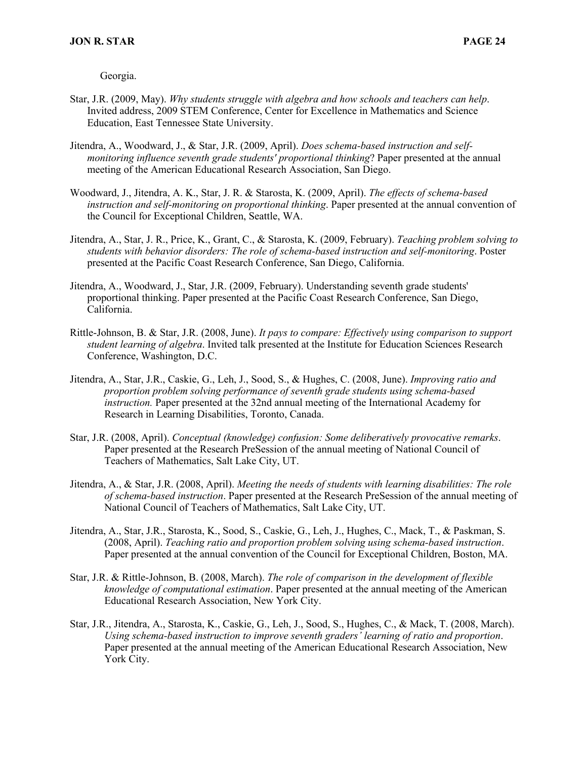Georgia.

- Star, J.R. (2009, May). *Why students struggle with algebra and how schools and teachers can help*. Invited address, 2009 STEM Conference, Center for Excellence in Mathematics and Science Education, East Tennessee State University.
- Jitendra, A., Woodward, J., & Star, J.R. (2009, April). *Does schema-based instruction and selfmonitoring influence seventh grade students' proportional thinking*? Paper presented at the annual meeting of the American Educational Research Association, San Diego.
- Woodward, J., Jitendra, A. K., Star, J. R. & Starosta, K. (2009, April). *The effects of schema-based instruction and self-monitoring on proportional thinking*. Paper presented at the annual convention of the Council for Exceptional Children, Seattle, WA.
- Jitendra, A., Star, J. R., Price, K., Grant, C., & Starosta, K. (2009, February). *Teaching problem solving to students with behavior disorders: The role of schema-based instruction and self-monitoring*. Poster presented at the Pacific Coast Research Conference, San Diego, California.
- Jitendra, A., Woodward, J., Star, J.R. (2009, February). Understanding seventh grade students' proportional thinking. Paper presented at the Pacific Coast Research Conference, San Diego, California.
- Rittle-Johnson, B. & Star, J.R. (2008, June). *It pays to compare: Effectively using comparison to support student learning of algebra*. Invited talk presented at the Institute for Education Sciences Research Conference, Washington, D.C.
- Jitendra, A., Star, J.R., Caskie, G., Leh, J., Sood, S., & Hughes, C. (2008, June). *Improving ratio and proportion problem solving performance of seventh grade students using schema-based instruction.* Paper presented at the 32nd annual meeting of the International Academy for Research in Learning Disabilities, Toronto, Canada.
- Star, J.R. (2008, April). *Conceptual (knowledge) confusion: Some deliberatively provocative remarks*. Paper presented at the Research PreSession of the annual meeting of National Council of Teachers of Mathematics, Salt Lake City, UT.
- Jitendra, A., & Star, J.R. (2008, April). *Meeting the needs of students with learning disabilities: The role of schema-based instruction*. Paper presented at the Research PreSession of the annual meeting of National Council of Teachers of Mathematics, Salt Lake City, UT.
- Jitendra, A., Star, J.R., Starosta, K., Sood, S., Caskie, G., Leh, J., Hughes, C., Mack, T., & Paskman, S. (2008, April). *Teaching ratio and proportion problem solving using schema-based instruction*. Paper presented at the annual convention of the Council for Exceptional Children, Boston, MA.
- Star, J.R. & Rittle-Johnson, B. (2008, March). *The role of comparison in the development of flexible knowledge of computational estimation*. Paper presented at the annual meeting of the American Educational Research Association, New York City.
- Star, J.R., Jitendra, A., Starosta, K., Caskie, G., Leh, J., Sood, S., Hughes, C., & Mack, T. (2008, March). *Using schema-based instruction to improve seventh graders' learning of ratio and proportion*. Paper presented at the annual meeting of the American Educational Research Association, New York City.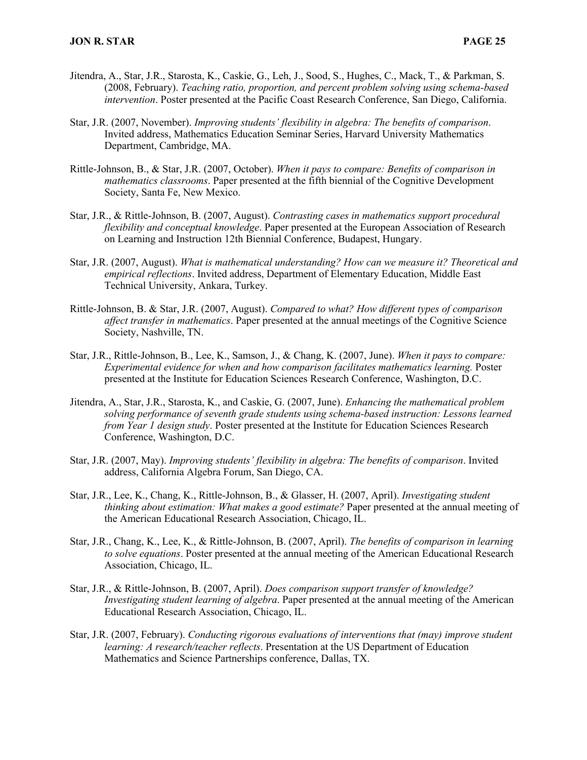- Jitendra, A., Star, J.R., Starosta, K., Caskie, G., Leh, J., Sood, S., Hughes, C., Mack, T., & Parkman, S. (2008, February). *Teaching ratio, proportion, and percent problem solving using schema-based intervention*. Poster presented at the Pacific Coast Research Conference, San Diego, California.
- Star, J.R. (2007, November). *Improving students' flexibility in algebra: The benefits of comparison*. Invited address, Mathematics Education Seminar Series, Harvard University Mathematics Department, Cambridge, MA.
- Rittle-Johnson, B., & Star, J.R. (2007, October). *When it pays to compare: Benefits of comparison in mathematics classrooms*. Paper presented at the fifth biennial of the Cognitive Development Society, Santa Fe, New Mexico.
- Star, J.R., & Rittle-Johnson, B. (2007, August). *Contrasting cases in mathematics support procedural flexibility and conceptual knowledge*. Paper presented at the European Association of Research on Learning and Instruction 12th Biennial Conference, Budapest, Hungary.
- Star, J.R. (2007, August). *What is mathematical understanding? How can we measure it? Theoretical and empirical reflections*. Invited address, Department of Elementary Education, Middle East Technical University, Ankara, Turkey.
- Rittle-Johnson, B. & Star, J.R. (2007, August). *Compared to what? How different types of comparison affect transfer in mathematics*. Paper presented at the annual meetings of the Cognitive Science Society, Nashville, TN.
- Star, J.R., Rittle-Johnson, B., Lee, K., Samson, J., & Chang, K. (2007, June). *When it pays to compare: Experimental evidence for when and how comparison facilitates mathematics learning.* Poster presented at the Institute for Education Sciences Research Conference, Washington, D.C.
- Jitendra, A., Star, J.R., Starosta, K., and Caskie, G. (2007, June). *Enhancing the mathematical problem solving performance of seventh grade students using schema-based instruction: Lessons learned from Year 1 design study*. Poster presented at the Institute for Education Sciences Research Conference, Washington, D.C.
- Star, J.R. (2007, May). *Improving students' flexibility in algebra: The benefits of comparison*. Invited address, California Algebra Forum, San Diego, CA.
- Star, J.R., Lee, K., Chang, K., Rittle-Johnson, B., & Glasser, H. (2007, April). *Investigating student thinking about estimation: What makes a good estimate?* Paper presented at the annual meeting of the American Educational Research Association, Chicago, IL.
- Star, J.R., Chang, K., Lee, K., & Rittle-Johnson, B. (2007, April). *The benefits of comparison in learning to solve equations*. Poster presented at the annual meeting of the American Educational Research Association, Chicago, IL.
- Star, J.R., & Rittle-Johnson, B. (2007, April). *Does comparison support transfer of knowledge? Investigating student learning of algebra*. Paper presented at the annual meeting of the American Educational Research Association, Chicago, IL.
- Star, J.R. (2007, February). *Conducting rigorous evaluations of interventions that (may) improve student learning: A research/teacher reflects*. Presentation at the US Department of Education Mathematics and Science Partnerships conference, Dallas, TX.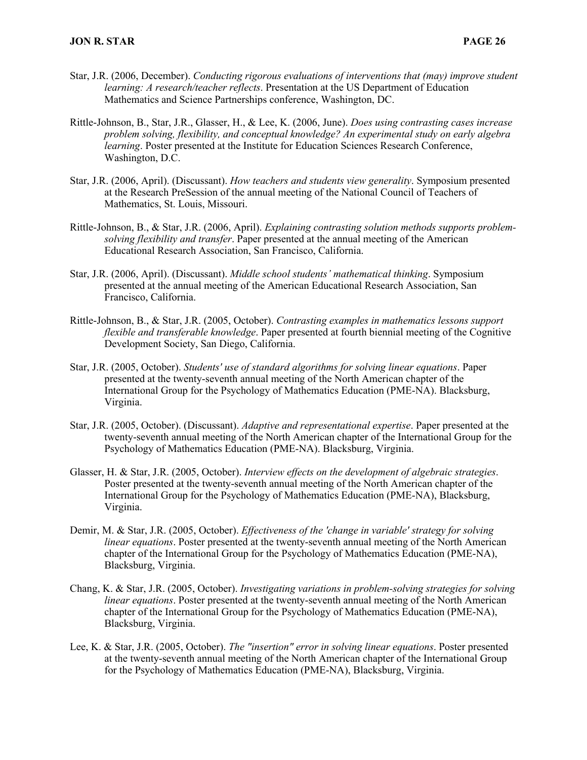- Star, J.R. (2006, December). *Conducting rigorous evaluations of interventions that (may) improve student learning: A research/teacher reflects*. Presentation at the US Department of Education Mathematics and Science Partnerships conference, Washington, DC.
- Rittle-Johnson, B., Star, J.R., Glasser, H., & Lee, K. (2006, June). *Does using contrasting cases increase problem solving, flexibility, and conceptual knowledge? An experimental study on early algebra learning*. Poster presented at the Institute for Education Sciences Research Conference, Washington, D.C.
- Star, J.R. (2006, April). (Discussant). *How teachers and students view generality*. Symposium presented at the Research PreSession of the annual meeting of the National Council of Teachers of Mathematics, St. Louis, Missouri.
- Rittle-Johnson, B., & Star, J.R. (2006, April). *Explaining contrasting solution methods supports problemsolving flexibility and transfer*. Paper presented at the annual meeting of the American Educational Research Association, San Francisco, California.
- Star, J.R. (2006, April). (Discussant). *Middle school students' mathematical thinking*. Symposium presented at the annual meeting of the American Educational Research Association, San Francisco, California.
- Rittle-Johnson, B., & Star, J.R. (2005, October). *Contrasting examples in mathematics lessons support flexible and transferable knowledge*. Paper presented at fourth biennial meeting of the Cognitive Development Society, San Diego, California.
- Star, J.R. (2005, October). *Students' use of standard algorithms for solving linear equations*. Paper presented at the twenty-seventh annual meeting of the North American chapter of the International Group for the Psychology of Mathematics Education (PME-NA). Blacksburg, Virginia.
- Star, J.R. (2005, October). (Discussant). *Adaptive and representational expertise*. Paper presented at the twenty-seventh annual meeting of the North American chapter of the International Group for the Psychology of Mathematics Education (PME-NA). Blacksburg, Virginia.
- Glasser, H. & Star, J.R. (2005, October). *Interview effects on the development of algebraic strategies*. Poster presented at the twenty-seventh annual meeting of the North American chapter of the International Group for the Psychology of Mathematics Education (PME-NA), Blacksburg, Virginia.
- Demir, M. & Star, J.R. (2005, October). *Effectiveness of the 'change in variable' strategy for solving linear equations*. Poster presented at the twenty-seventh annual meeting of the North American chapter of the International Group for the Psychology of Mathematics Education (PME-NA), Blacksburg, Virginia.
- Chang, K. & Star, J.R. (2005, October). *Investigating variations in problem-solving strategies for solving linear equations*. Poster presented at the twenty-seventh annual meeting of the North American chapter of the International Group for the Psychology of Mathematics Education (PME-NA), Blacksburg, Virginia.
- Lee, K. & Star, J.R. (2005, October). *The "insertion" error in solving linear equations*. Poster presented at the twenty-seventh annual meeting of the North American chapter of the International Group for the Psychology of Mathematics Education (PME-NA), Blacksburg, Virginia.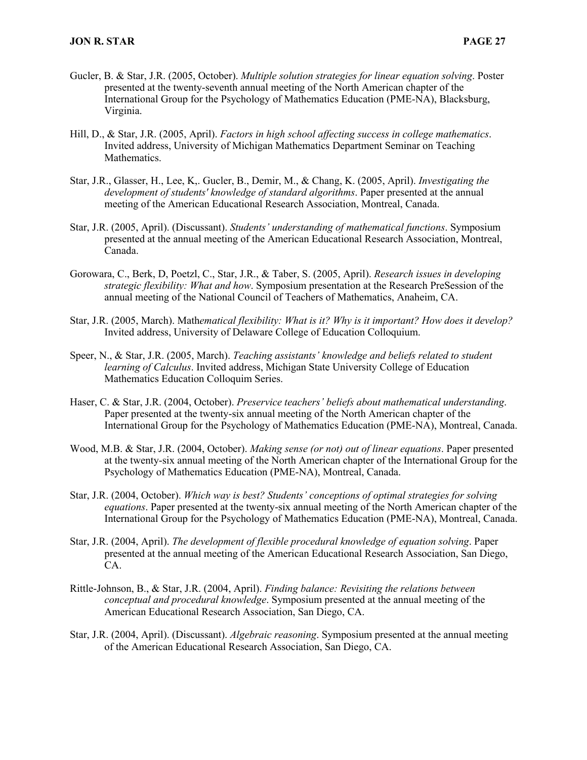- Gucler, B. & Star, J.R. (2005, October). *Multiple solution strategies for linear equation solving*. Poster presented at the twenty-seventh annual meeting of the North American chapter of the International Group for the Psychology of Mathematics Education (PME-NA), Blacksburg, Virginia.
- Hill, D., & Star, J.R. (2005, April). *Factors in high school affecting success in college mathematics*. Invited address, University of Michigan Mathematics Department Seminar on Teaching Mathematics.
- Star, J.R., Glasser, H., Lee, K,. Gucler, B., Demir, M., & Chang, K. (2005, April). *Investigating the development of students' knowledge of standard algorithms*. Paper presented at the annual meeting of the American Educational Research Association, Montreal, Canada.
- Star, J.R. (2005, April). (Discussant). *Students' understanding of mathematical functions*. Symposium presented at the annual meeting of the American Educational Research Association, Montreal, Canada.
- Gorowara, C., Berk, D, Poetzl, C., Star, J.R., & Taber, S. (2005, April). *Research issues in developing strategic flexibility: What and how*. Symposium presentation at the Research PreSession of the annual meeting of the National Council of Teachers of Mathematics, Anaheim, CA.
- Star, J.R. (2005, March). Math*ematical flexibility: What is it? Why is it important? How does it develop?* Invited address, University of Delaware College of Education Colloquium.
- Speer, N., & Star, J.R. (2005, March). *Teaching assistants' knowledge and beliefs related to student learning of Calculus*. Invited address, Michigan State University College of Education Mathematics Education Colloquim Series.
- Haser, C. & Star, J.R. (2004, October). *Preservice teachers' beliefs about mathematical understanding*. Paper presented at the twenty-six annual meeting of the North American chapter of the International Group for the Psychology of Mathematics Education (PME-NA), Montreal, Canada.
- Wood, M.B. & Star, J.R. (2004, October). *Making sense (or not) out of linear equations*. Paper presented at the twenty-six annual meeting of the North American chapter of the International Group for the Psychology of Mathematics Education (PME-NA), Montreal, Canada.
- Star, J.R. (2004, October). *Which way is best? Students' conceptions of optimal strategies for solving equations*. Paper presented at the twenty-six annual meeting of the North American chapter of the International Group for the Psychology of Mathematics Education (PME-NA), Montreal, Canada.
- Star, J.R. (2004, April). *The development of flexible procedural knowledge of equation solving*. Paper presented at the annual meeting of the American Educational Research Association, San Diego, CA.
- Rittle-Johnson, B., & Star, J.R. (2004, April). *Finding balance: Revisiting the relations between conceptual and procedural knowledge*. Symposium presented at the annual meeting of the American Educational Research Association, San Diego, CA.
- Star, J.R. (2004, April). (Discussant). *Algebraic reasoning*. Symposium presented at the annual meeting of the American Educational Research Association, San Diego, CA.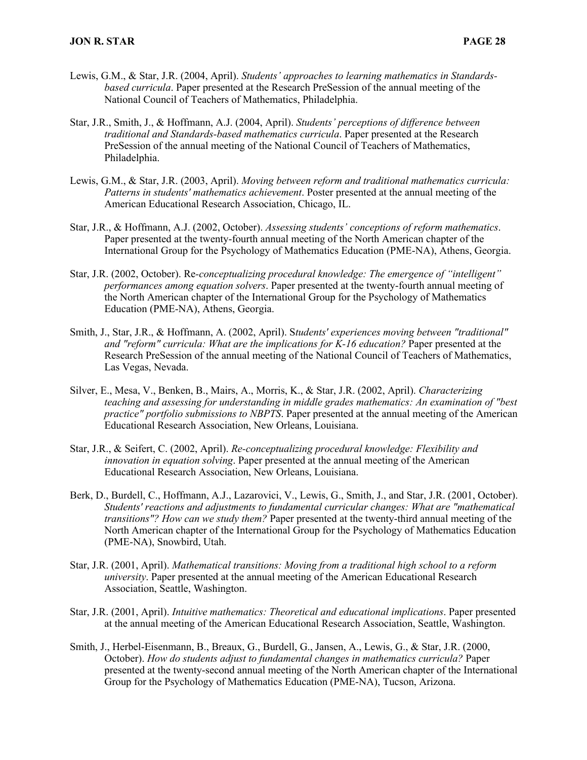- Lewis, G.M., & Star, J.R. (2004, April). *Students' approaches to learning mathematics in Standardsbased curricula*. Paper presented at the Research PreSession of the annual meeting of the National Council of Teachers of Mathematics, Philadelphia.
- Star, J.R., Smith, J., & Hoffmann, A.J. (2004, April). *Students' perceptions of difference between traditional and Standards-based mathematics curricula*. Paper presented at the Research PreSession of the annual meeting of the National Council of Teachers of Mathematics, Philadelphia.
- Lewis, G.M., & Star, J.R. (2003, April). *Moving between reform and traditional mathematics curricula: Patterns in students' mathematics achievement*. Poster presented at the annual meeting of the American Educational Research Association, Chicago, IL.
- Star, J.R., & Hoffmann, A.J. (2002, October). *Assessing students' conceptions of reform mathematics*. Paper presented at the twenty-fourth annual meeting of the North American chapter of the International Group for the Psychology of Mathematics Education (PME-NA), Athens, Georgia.
- Star, J.R. (2002, October). Re*-conceptualizing procedural knowledge: The emergence of "intelligent" performances among equation solvers*. Paper presented at the twenty-fourth annual meeting of the North American chapter of the International Group for the Psychology of Mathematics Education (PME-NA), Athens, Georgia.
- Smith, J., Star, J.R., & Hoffmann, A. (2002, April). S*tudents' experiences moving between "traditional" and "reform" curricula: What are the implications for K-16 education?* Paper presented at the Research PreSession of the annual meeting of the National Council of Teachers of Mathematics, Las Vegas, Nevada.
- Silver, E., Mesa, V., Benken, B., Mairs, A., Morris, K., & Star, J.R. (2002, April). *Characterizing teaching and assessing for understanding in middle grades mathematics: An examination of "best practice" portfolio submissions to NBPTS*. Paper presented at the annual meeting of the American Educational Research Association, New Orleans, Louisiana.
- Star, J.R., & Seifert, C. (2002, April). *Re-conceptualizing procedural knowledge: Flexibility and innovation in equation solving*. Paper presented at the annual meeting of the American Educational Research Association, New Orleans, Louisiana.
- Berk, D., Burdell, C., Hoffmann, A.J., Lazarovici, V., Lewis, G., Smith, J., and Star, J.R. (2001, October). *Students' reactions and adjustments to fundamental curricular changes: What are "mathematical transitions"? How can we study them?* Paper presented at the twenty-third annual meeting of the North American chapter of the International Group for the Psychology of Mathematics Education (PME-NA), Snowbird, Utah.
- Star, J.R. (2001, April). *Mathematical transitions: Moving from a traditional high school to a reform university*. Paper presented at the annual meeting of the American Educational Research Association, Seattle, Washington.
- Star, J.R. (2001, April). *Intuitive mathematics: Theoretical and educational implications*. Paper presented at the annual meeting of the American Educational Research Association, Seattle, Washington.
- Smith, J., Herbel-Eisenmann, B., Breaux, G., Burdell, G., Jansen, A., Lewis, G., & Star, J.R. (2000, October). *How do students adjust to fundamental changes in mathematics curricula?* Paper presented at the twenty-second annual meeting of the North American chapter of the International Group for the Psychology of Mathematics Education (PME-NA), Tucson, Arizona.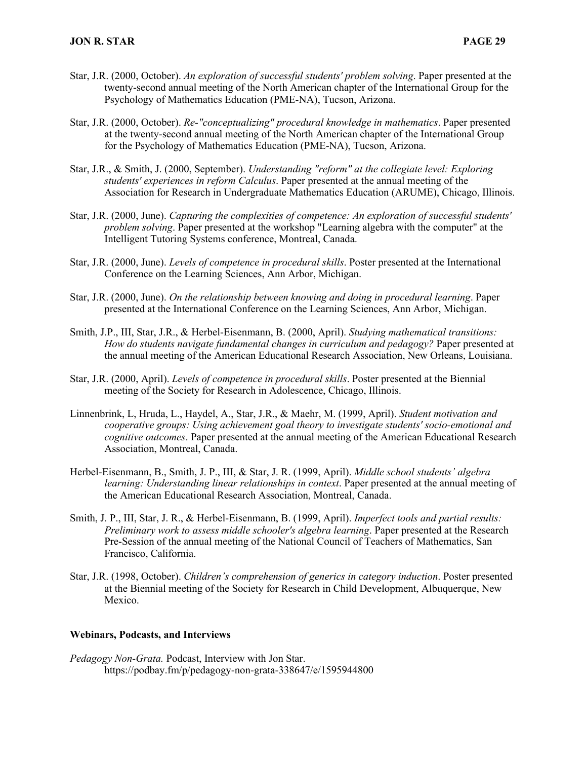- Star, J.R. (2000, October). *An exploration of successful students' problem solving*. Paper presented at the twenty-second annual meeting of the North American chapter of the International Group for the Psychology of Mathematics Education (PME-NA), Tucson, Arizona.
- Star, J.R. (2000, October). *Re-"conceptualizing" procedural knowledge in mathematics*. Paper presented at the twenty-second annual meeting of the North American chapter of the International Group for the Psychology of Mathematics Education (PME-NA), Tucson, Arizona.
- Star, J.R., & Smith, J. (2000, September). *Understanding "reform" at the collegiate level: Exploring students' experiences in reform Calculus*. Paper presented at the annual meeting of the Association for Research in Undergraduate Mathematics Education (ARUME), Chicago, Illinois.
- Star, J.R. (2000, June). *Capturing the complexities of competence: An exploration of successful students' problem solving*. Paper presented at the workshop "Learning algebra with the computer" at the Intelligent Tutoring Systems conference, Montreal, Canada.
- Star, J.R. (2000, June). *Levels of competence in procedural skills*. Poster presented at the International Conference on the Learning Sciences, Ann Arbor, Michigan.
- Star, J.R. (2000, June). *On the relationship between knowing and doing in procedural learning*. Paper presented at the International Conference on the Learning Sciences, Ann Arbor, Michigan.
- Smith, J.P., III, Star, J.R., & Herbel-Eisenmann, B. (2000, April). *Studying mathematical transitions: How do students navigate fundamental changes in curriculum and pedagogy?* Paper presented at the annual meeting of the American Educational Research Association, New Orleans, Louisiana.
- Star, J.R. (2000, April). *Levels of competence in procedural skills*. Poster presented at the Biennial meeting of the Society for Research in Adolescence, Chicago, Illinois.
- Linnenbrink, L, Hruda, L., Haydel, A., Star, J.R., & Maehr, M. (1999, April). *Student motivation and cooperative groups: Using achievement goal theory to investigate students' socio-emotional and cognitive outcomes*. Paper presented at the annual meeting of the American Educational Research Association, Montreal, Canada.
- Herbel-Eisenmann, B., Smith, J. P., III, & Star, J. R. (1999, April). *Middle school students' algebra learning: Understanding linear relationships in context*. Paper presented at the annual meeting of the American Educational Research Association, Montreal, Canada.
- Smith, J. P., III, Star, J. R., & Herbel-Eisenmann, B. (1999, April). *Imperfect tools and partial results: Preliminary work to assess middle schooler's algebra learning*. Paper presented at the Research Pre-Session of the annual meeting of the National Council of Teachers of Mathematics, San Francisco, California.
- Star, J.R. (1998, October). *Children's comprehension of generics in category induction*. Poster presented at the Biennial meeting of the Society for Research in Child Development, Albuquerque, New Mexico.

#### **Webinars, Podcasts, and Interviews**

*Pedagogy Non-Grata.* Podcast, Interview with Jon Star. https://podbay.fm/p/pedagogy-non-grata-338647/e/1595944800